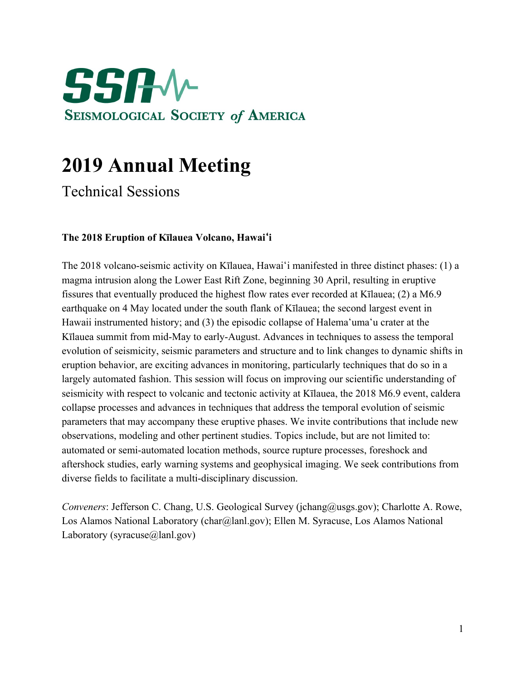

# **2019 Annual Meeting**

Technical Sessions

#### **The 2018 Eruption of Kīlauea Volcano, Hawai**ʻ**i**

The 2018 volcano-seismic activity on Kīlauea, Hawaiʻi manifested in three distinct phases: (1) a magma intrusion along the Lower East Rift Zone, beginning 30 April, resulting in eruptive fissures that eventually produced the highest flow rates ever recorded at Kīlauea; (2) a M6.9 earthquake on 4 May located under the south flank of Kīlauea; the second largest event in Hawaii instrumented history; and (3) the episodic collapse of Halemaʻumaʻu crater at the Kīlauea summit from mid-May to early-August. Advances in techniques to assess the temporal evolution of seismicity, seismic parameters and structure and to link changes to dynamic shifts in eruption behavior, are exciting advances in monitoring, particularly techniques that do so in a largely automated fashion. This session will focus on improving our scientific understanding of seismicity with respect to volcanic and tectonic activity at Kīlauea, the 2018 M6.9 event, caldera collapse processes and advances in techniques that address the temporal evolution of seismic parameters that may accompany these eruptive phases. We invite contributions that include new observations, modeling and other pertinent studies. Topics include, but are not limited to: automated or semi-automated location methods, source rupture processes, foreshock and aftershock studies, early warning systems and geophysical imaging. We seek contributions from diverse fields to facilitate a multi-disciplinary discussion.

*Conveners*: Jefferson C. Chang, U.S. Geological Survey (jchang@usgs.gov); Charlotte A. Rowe, Los Alamos National Laboratory (char@lanl.gov); Ellen M. Syracuse, Los Alamos National Laboratory (syracuse@lanl.gov)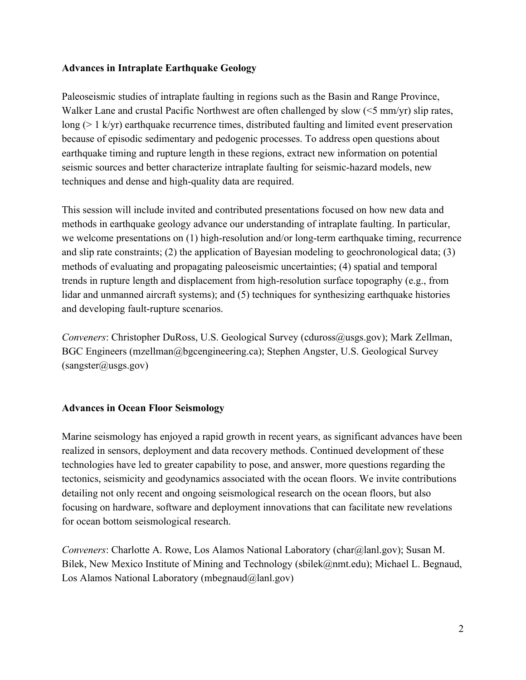#### **Advances in Intraplate Earthquake Geology**

Paleoseismic studies of intraplate faulting in regions such as the Basin and Range Province, Walker Lane and crustal Pacific Northwest are often challenged by slow (<5 mm/yr) slip rates,  $\log$  ( $> 1$  k/yr) earthquake recurrence times, distributed faulting and limited event preservation because of episodic sedimentary and pedogenic processes. To address open questions about earthquake timing and rupture length in these regions, extract new information on potential seismic sources and better characterize intraplate faulting for seismic-hazard models, new techniques and dense and high-quality data are required.

This session will include invited and contributed presentations focused on how new data and methods in earthquake geology advance our understanding of intraplate faulting. In particular, we welcome presentations on (1) high-resolution and/or long-term earthquake timing, recurrence and slip rate constraints; (2) the application of Bayesian modeling to geochronological data; (3) methods of evaluating and propagating paleoseismic uncertainties; (4) spatial and temporal trends in rupture length and displacement from high-resolution surface topography (e.g., from lidar and unmanned aircraft systems); and (5) techniques for synthesizing earthquake histories and developing fault-rupture scenarios.

*Conveners*: Christopher DuRoss, U.S. Geological Survey (cduross@usgs.gov); Mark Zellman, BGC Engineers (mzellman@bgcengineering.ca); Stephen Angster, U.S. Geological Survey  $(sangster@uses.gov)$ 

## **Advances in Ocean Floor Seismology**

Marine seismology has enjoyed a rapid growth in recent years, as significant advances have been realized in sensors, deployment and data recovery methods. Continued development of these technologies have led to greater capability to pose, and answer, more questions regarding the tectonics, seismicity and geodynamics associated with the ocean floors. We invite contributions detailing not only recent and ongoing seismological research on the ocean floors, but also focusing on hardware, software and deployment innovations that can facilitate new revelations for ocean bottom seismological research.

*Conveners*: Charlotte A. Rowe, Los Alamos National Laboratory (char@lanl.gov); Susan M. Bilek, New Mexico Institute of Mining and Technology (sbilek@nmt.edu); Michael L. Begnaud, Los Alamos National Laboratory (mbegnaud@lanl.gov)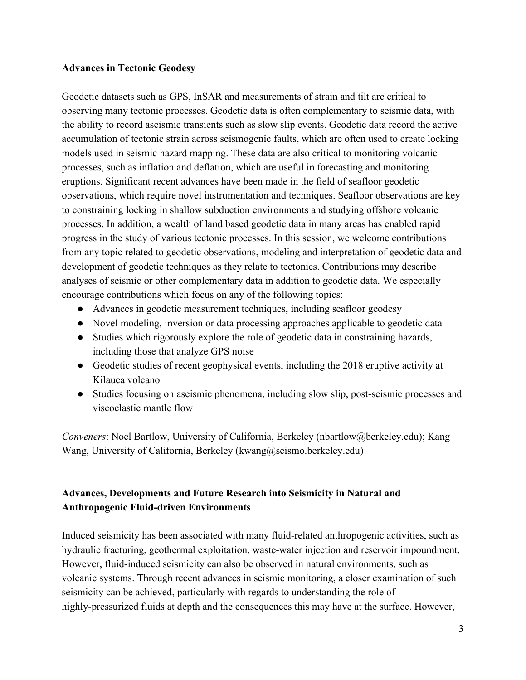#### **Advances in Tectonic Geodesy**

Geodetic datasets such as GPS, InSAR and measurements of strain and tilt are critical to observing many tectonic processes. Geodetic data is often complementary to seismic data, with the ability to record aseismic transients such as slow slip events. Geodetic data record the active accumulation of tectonic strain across seismogenic faults, which are often used to create locking models used in seismic hazard mapping. These data are also critical to monitoring volcanic processes, such as inflation and deflation, which are useful in forecasting and monitoring eruptions. Significant recent advances have been made in the field of seafloor geodetic observations, which require novel instrumentation and techniques. Seafloor observations are key to constraining locking in shallow subduction environments and studying offshore volcanic processes. In addition, a wealth of land based geodetic data in many areas has enabled rapid progress in the study of various tectonic processes. In this session, we welcome contributions from any topic related to geodetic observations, modeling and interpretation of geodetic data and development of geodetic techniques as they relate to tectonics. Contributions may describe analyses of seismic or other complementary data in addition to geodetic data. We especially encourage contributions which focus on any of the following topics:

- Advances in geodetic measurement techniques, including seafloor geodesy
- Novel modeling, inversion or data processing approaches applicable to geodetic data
- Studies which rigorously explore the role of geodetic data in constraining hazards, including those that analyze GPS noise
- Geodetic studies of recent geophysical events, including the 2018 eruptive activity at Kilauea volcano
- Studies focusing on aseismic phenomena, including slow slip, post-seismic processes and viscoelastic mantle flow

*Conveners*: Noel Bartlow, University of California, Berkeley (nbartlow@berkeley.edu); Kang Wang, University of California, Berkeley (kwang@seismo.berkeley.edu)

# **Advances, Developments and Future Research into Seismicity in Natural and Anthropogenic Fluid-driven Environments**

Induced seismicity has been associated with many fluid-related anthropogenic activities, such as hydraulic fracturing, geothermal exploitation, waste-water injection and reservoir impoundment. However, fluid-induced seismicity can also be observed in natural environments, such as volcanic systems. Through recent advances in seismic monitoring, a closer examination of such seismicity can be achieved, particularly with regards to understanding the role of highly-pressurized fluids at depth and the consequences this may have at the surface. However,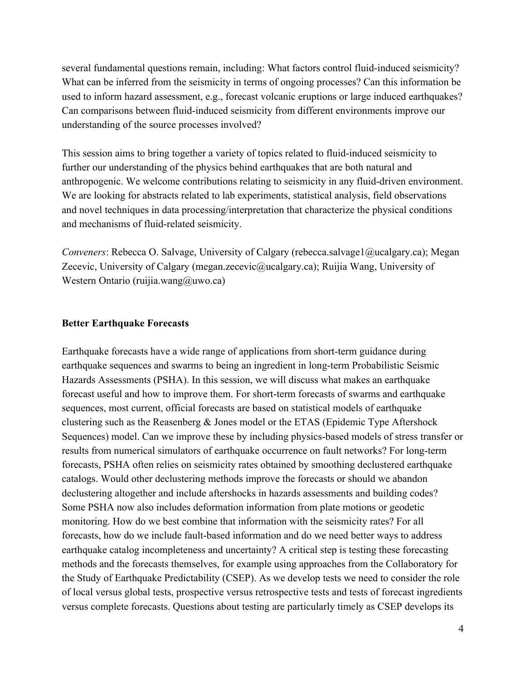several fundamental questions remain, including: What factors control fluid-induced seismicity? What can be inferred from the seismicity in terms of ongoing processes? Can this information be used to inform hazard assessment, e.g., forecast volcanic eruptions or large induced earthquakes? Can comparisons between fluid-induced seismicity from different environments improve our understanding of the source processes involved?

This session aims to bring together a variety of topics related to fluid-induced seismicity to further our understanding of the physics behind earthquakes that are both natural and anthropogenic. We welcome contributions relating to seismicity in any fluid-driven environment. We are looking for abstracts related to lab experiments, statistical analysis, field observations and novel techniques in data processing/interpretation that characterize the physical conditions and mechanisms of fluid-related seismicity.

*Conveners*: Rebecca O. Salvage, University of Calgary (rebecca.salvage1@ucalgary.ca); Megan Zecevic, University of Calgary (megan.zecevic@ucalgary.ca); Ruijia Wang, University of Western Ontario (ruijia.wang@uwo.ca)

#### **Better Earthquake Forecasts**

Earthquake forecasts have a wide range of applications from short-term guidance during earthquake sequences and swarms to being an ingredient in long-term Probabilistic Seismic Hazards Assessments (PSHA). In this session, we will discuss what makes an earthquake forecast useful and how to improve them. For short-term forecasts of swarms and earthquake sequences, most current, official forecasts are based on statistical models of earthquake clustering such as the Reasenberg  $\&$  Jones model or the ETAS (Epidemic Type Aftershock Sequences) model. Can we improve these by including physics-based models of stress transfer or results from numerical simulators of earthquake occurrence on fault networks? For long-term forecasts, PSHA often relies on seismicity rates obtained by smoothing declustered earthquake catalogs. Would other declustering methods improve the forecasts or should we abandon declustering altogether and include aftershocks in hazards assessments and building codes? Some PSHA now also includes deformation information from plate motions or geodetic monitoring. How do we best combine that information with the seismicity rates? For all forecasts, how do we include fault-based information and do we need better ways to address earthquake catalog incompleteness and uncertainty? A critical step is testing these forecasting methods and the forecasts themselves, for example using approaches from the Collaboratory for the Study of Earthquake Predictability (CSEP). As we develop tests we need to consider the role of local versus global tests, prospective versus retrospective tests and tests of forecast ingredients versus complete forecasts. Questions about testing are particularly timely as CSEP develops its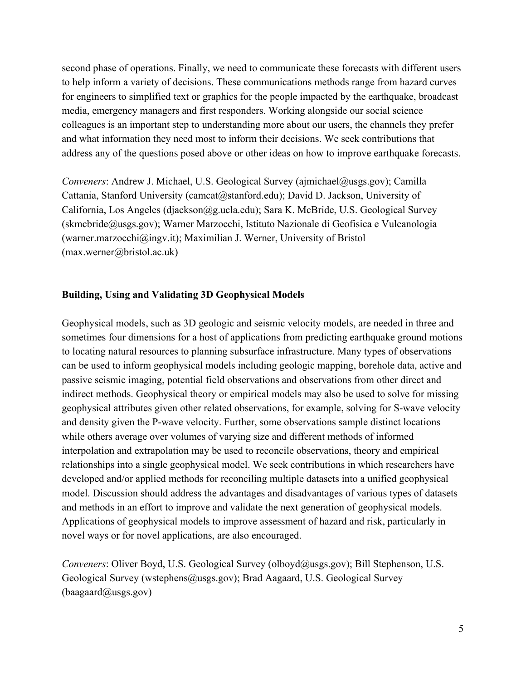second phase of operations. Finally, we need to communicate these forecasts with different users to help inform a variety of decisions. These communications methods range from hazard curves for engineers to simplified text or graphics for the people impacted by the earthquake, broadcast media, emergency managers and first responders. Working alongside our social science colleagues is an important step to understanding more about our users, the channels they prefer and what information they need most to inform their decisions. We seek contributions that address any of the questions posed above or other ideas on how to improve earthquake forecasts.

*Conveners*: Andrew J. Michael, U.S. Geological Survey (ajmichael@usgs.gov); Camilla Cattania, Stanford University (camcat@stanford.edu); David D. Jackson, University of California, Los Angeles (djackson@g.ucla.edu); Sara K. McBride, U.S. Geological Survey (skmcbride@usgs.gov); Warner Marzocchi, Istituto Nazionale di Geofisica e Vulcanologia (warner.marzocchi@ingv.it); Maximilian J. Werner, University of Bristol (max.werner@bristol.ac.uk)

#### **Building, Using and Validating 3D Geophysical Models**

Geophysical models, such as 3D geologic and seismic velocity models, are needed in three and sometimes four dimensions for a host of applications from predicting earthquake ground motions to locating natural resources to planning subsurface infrastructure. Many types of observations can be used to inform geophysical models including geologic mapping, borehole data, active and passive seismic imaging, potential field observations and observations from other direct and indirect methods. Geophysical theory or empirical models may also be used to solve for missing geophysical attributes given other related observations, for example, solving for S-wave velocity and density given the P-wave velocity. Further, some observations sample distinct locations while others average over volumes of varying size and different methods of informed interpolation and extrapolation may be used to reconcile observations, theory and empirical relationships into a single geophysical model. We seek contributions in which researchers have developed and/or applied methods for reconciling multiple datasets into a unified geophysical model. Discussion should address the advantages and disadvantages of various types of datasets and methods in an effort to improve and validate the next generation of geophysical models. Applications of geophysical models to improve assessment of hazard and risk, particularly in novel ways or for novel applications, are also encouraged.

*Conveners*: Oliver Boyd, U.S. Geological Survey (olboyd@usgs.gov); Bill Stephenson, U.S. Geological Survey (wstephens@usgs.gov); Brad Aagaard, U.S. Geological Survey  $(baaqaard@usgs.gov)$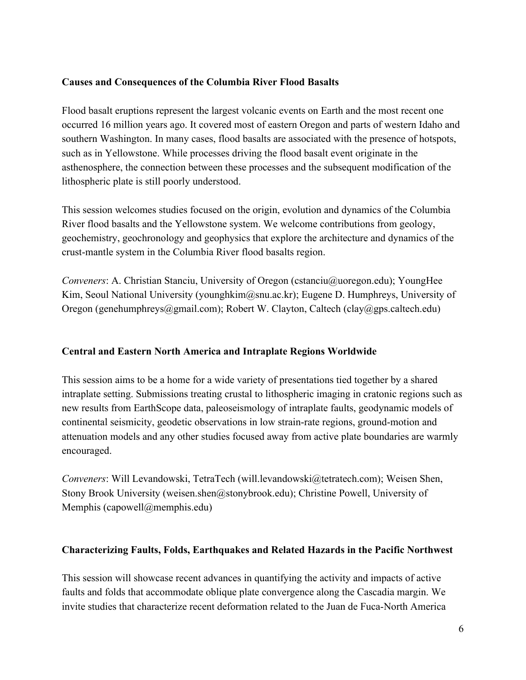#### **Causes and Consequences of the Columbia River Flood Basalts**

Flood basalt eruptions represent the largest volcanic events on Earth and the most recent one occurred 16 million years ago. It covered most of eastern Oregon and parts of western Idaho and southern Washington. In many cases, flood basalts are associated with the presence of hotspots, such as in Yellowstone. While processes driving the flood basalt event originate in the asthenosphere, the connection between these processes and the subsequent modification of the lithospheric plate is still poorly understood.

This session welcomes studies focused on the origin, evolution and dynamics of the Columbia River flood basalts and the Yellowstone system. We welcome contributions from geology, geochemistry, geochronology and geophysics that explore the architecture and dynamics of the crust-mantle system in the Columbia River flood basalts region.

*Conveners*: A. Christian Stanciu, University of Oregon (cstanciu@uoregon.edu); YoungHee Kim, Seoul National University (younghkim@snu.ac.kr); Eugene D. Humphreys, University of Oregon (genehumphreys@gmail.com); Robert W. Clayton, Caltech (clay@gps.caltech.edu)

#### **Central and Eastern North America and Intraplate Regions Worldwide**

This session aims to be a home for a wide variety of presentations tied together by a shared intraplate setting. Submissions treating crustal to lithospheric imaging in cratonic regions such as new results from EarthScope data, paleoseismology of intraplate faults, geodynamic models of continental seismicity, geodetic observations in low strain-rate regions, ground-motion and attenuation models and any other studies focused away from active plate boundaries are warmly encouraged.

*Conveners*: Will Levandowski, TetraTech (will.levandowski@tetratech.com); Weisen Shen, Stony Brook University (weisen.shen@stonybrook.edu); Christine Powell, University of Memphis (capowell@memphis.edu)

#### **Characterizing Faults, Folds, Earthquakes and Related Hazards in the Pacific Northwest**

This session will showcase recent advances in quantifying the activity and impacts of active faults and folds that accommodate oblique plate convergence along the Cascadia margin. We invite studies that characterize recent deformation related to the Juan de Fuca-North America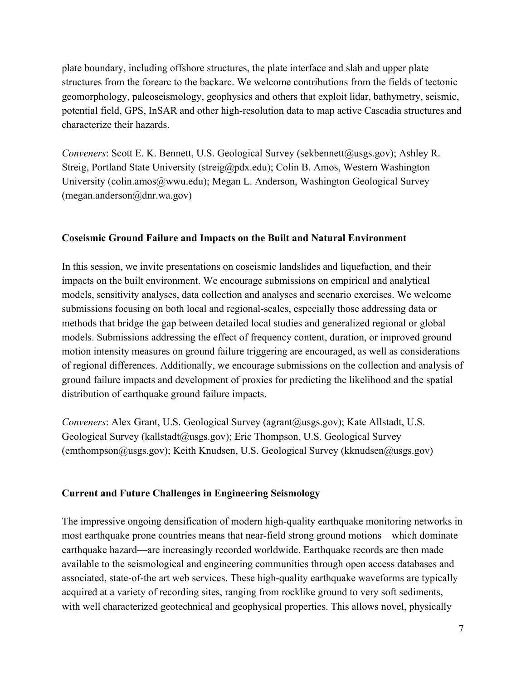plate boundary, including offshore structures, the plate interface and slab and upper plate structures from the forearc to the backarc. We welcome contributions from the fields of tectonic geomorphology, paleoseismology, geophysics and others that exploit lidar, bathymetry, seismic, potential field, GPS, InSAR and other high-resolution data to map active Cascadia structures and characterize their hazards.

*Conveners*: Scott E. K. Bennett, U.S. Geological Survey (sekbennett@usgs.gov); Ashley R. Streig, Portland State University (streig@pdx.edu); Colin B. Amos, Western Washington University (colin.amos@wwu.edu); Megan L. Anderson, Washington Geological Survey (megan.anderson@dnr.wa.gov)

#### **Coseismic Ground Failure and Impacts on the Built and Natural Environment**

In this session, we invite presentations on coseismic landslides and liquefaction, and their impacts on the built environment. We encourage submissions on empirical and analytical models, sensitivity analyses, data collection and analyses and scenario exercises. We welcome submissions focusing on both local and regional-scales, especially those addressing data or methods that bridge the gap between detailed local studies and generalized regional or global models. Submissions addressing the effect of frequency content, duration, or improved ground motion intensity measures on ground failure triggering are encouraged, as well as considerations of regional differences. Additionally, we encourage submissions on the collection and analysis of ground failure impacts and development of proxies for predicting the likelihood and the spatial distribution of earthquake ground failure impacts.

*Conveners*: Alex Grant, U.S. Geological Survey (agrant@usgs.gov); Kate Allstadt, U.S. Geological Survey (kallstadt@usgs.gov); Eric Thompson, U.S. Geological Survey (emthompson@usgs.gov); Keith Knudsen, U.S. Geological Survey (kknudsen@usgs.gov)

#### **Current and Future Challenges in Engineering Seismology**

The impressive ongoing densification of modern high-quality earthquake monitoring networks in most earthquake prone countries means that near-field strong ground motions—which dominate earthquake hazard—are increasingly recorded worldwide. Earthquake records are then made available to the seismological and engineering communities through open access databases and associated, state-of-the art web services. These high-quality earthquake waveforms are typically acquired at a variety of recording sites, ranging from rocklike ground to very soft sediments, with well characterized geotechnical and geophysical properties. This allows novel, physically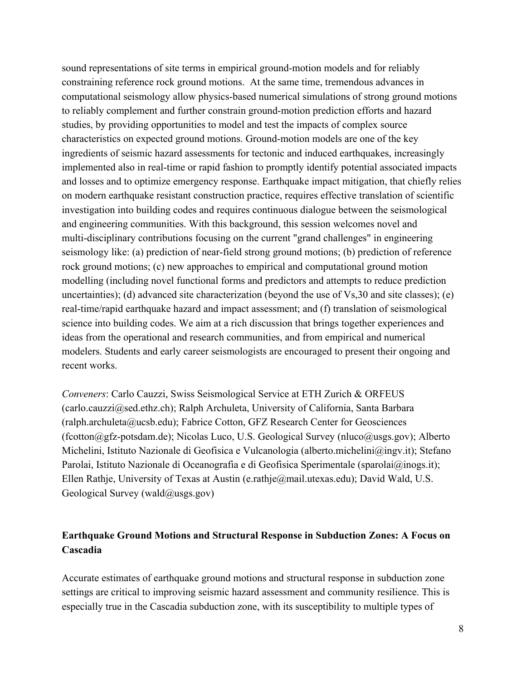sound representations of site terms in empirical ground-motion models and for reliably constraining reference rock ground motions. At the same time, tremendous advances in computational seismology allow physics-based numerical simulations of strong ground motions to reliably complement and further constrain ground-motion prediction efforts and hazard studies, by providing opportunities to model and test the impacts of complex source characteristics on expected ground motions. Ground-motion models are one of the key ingredients of seismic hazard assessments for tectonic and induced earthquakes, increasingly implemented also in real-time or rapid fashion to promptly identify potential associated impacts and losses and to optimize emergency response. Earthquake impact mitigation, that chiefly relies on modern earthquake resistant construction practice, requires effective translation of scientific investigation into building codes and requires continuous dialogue between the seismological and engineering communities. With this background, this session welcomes novel and multi-disciplinary contributions focusing on the current "grand challenges" in engineering seismology like: (a) prediction of near-field strong ground motions; (b) prediction of reference rock ground motions; (c) new approaches to empirical and computational ground motion modelling (including novel functional forms and predictors and attempts to reduce prediction uncertainties); (d) advanced site characterization (beyond the use of Vs,30 and site classes); (e) real-time/rapid earthquake hazard and impact assessment; and (f) translation of seismological science into building codes. We aim at a rich discussion that brings together experiences and ideas from the operational and research communities, and from empirical and numerical modelers. Students and early career seismologists are encouraged to present their ongoing and recent works.

*Conveners*: Carlo Cauzzi, Swiss Seismological Service at ETH Zurich & ORFEUS (carlo.cauzzi@sed.ethz.ch); Ralph Archuleta, University of California, Santa Barbara (ralph.archuleta@ucsb.edu); Fabrice Cotton, GFZ Research Center for Geosciences (fcotton@gfz-potsdam.de); Nicolas Luco, U.S. Geological Survey (nluco@usgs.gov); Alberto Michelini, Istituto Nazionale di Geofisica e Vulcanologia (alberto.michelini@ingv.it); Stefano Parolai, Istituto Nazionale di Oceanografia e di Geofisica Sperimentale (sparolai@inogs.it); Ellen Rathje, University of Texas at Austin (e.rathje@mail.utexas.edu); David Wald, U.S. Geological Survey (wald $(a)$ usgs.gov)

## **Earthquake Ground Motions and Structural Response in Subduction Zones: A Focus on Cascadia**

Accurate estimates of earthquake ground motions and structural response in subduction zone settings are critical to improving seismic hazard assessment and community resilience. This is especially true in the Cascadia subduction zone, with its susceptibility to multiple types of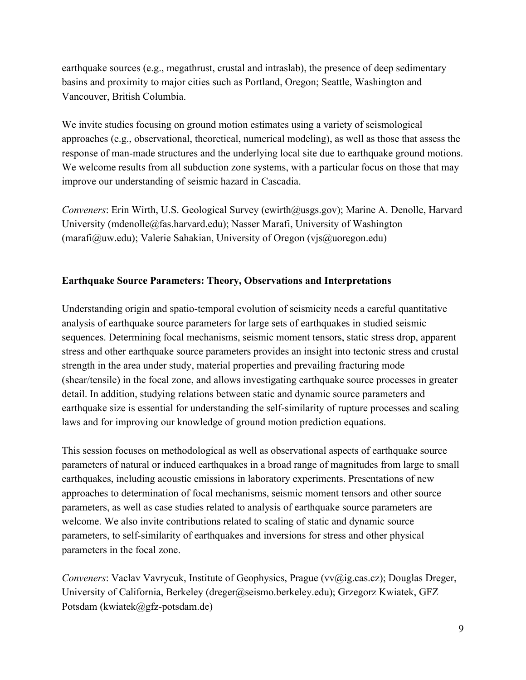earthquake sources (e.g., megathrust, crustal and intraslab), the presence of deep sedimentary basins and proximity to major cities such as Portland, Oregon; Seattle, Washington and Vancouver, British Columbia.

We invite studies focusing on ground motion estimates using a variety of seismological approaches (e.g., observational, theoretical, numerical modeling), as well as those that assess the response of man-made structures and the underlying local site due to earthquake ground motions. We welcome results from all subduction zone systems, with a particular focus on those that may improve our understanding of seismic hazard in Cascadia.

*Conveners*: Erin Wirth, U.S. Geological Survey (ewirth@usgs.gov); Marine A. Denolle, Harvard University (mdenolle@fas.harvard.edu); Nasser Marafi, University of Washington (marafi@uw.edu); Valerie Sahakian, University of Oregon (vjs@uoregon.edu)

#### **Earthquake Source Parameters: Theory, Observations and Interpretations**

Understanding origin and spatio-temporal evolution of seismicity needs a careful quantitative analysis of earthquake source parameters for large sets of earthquakes in studied seismic sequences. Determining focal mechanisms, seismic moment tensors, static stress drop, apparent stress and other earthquake source parameters provides an insight into tectonic stress and crustal strength in the area under study, material properties and prevailing fracturing mode (shear/tensile) in the focal zone, and allows investigating earthquake source processes in greater detail. In addition, studying relations between static and dynamic source parameters and earthquake size is essential for understanding the self-similarity of rupture processes and scaling laws and for improving our knowledge of ground motion prediction equations.

This session focuses on methodological as well as observational aspects of earthquake source parameters of natural or induced earthquakes in a broad range of magnitudes from large to small earthquakes, including acoustic emissions in laboratory experiments. Presentations of new approaches to determination of focal mechanisms, seismic moment tensors and other source parameters, as well as case studies related to analysis of earthquake source parameters are welcome. We also invite contributions related to scaling of static and dynamic source parameters, to self-similarity of earthquakes and inversions for stress and other physical parameters in the focal zone.

*Conveners*: Vaclav Vavrycuk, Institute of Geophysics, Prague (vv@ig.cas.cz); Douglas Dreger, University of California, Berkeley (dreger@seismo.berkeley.edu); Grzegorz Kwiatek, GFZ Potsdam (kwiatek@gfz-potsdam.de)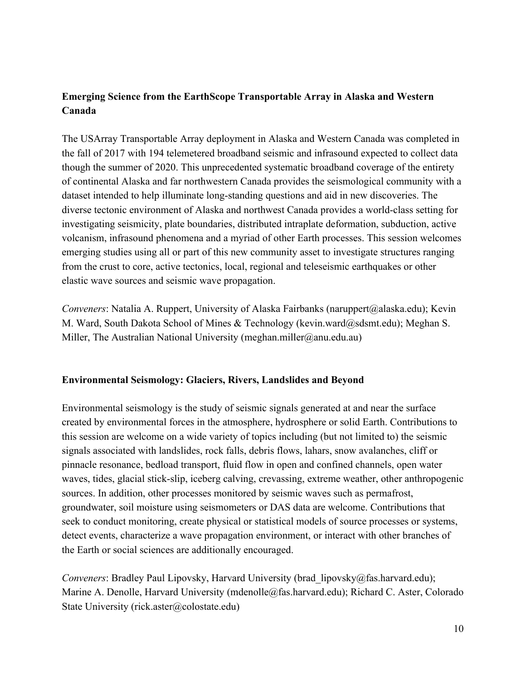# **Emerging Science from the EarthScope Transportable Array in Alaska and Western Canada**

The USArray Transportable Array deployment in Alaska and Western Canada was completed in the fall of 2017 with 194 telemetered broadband seismic and infrasound expected to collect data though the summer of 2020. This unprecedented systematic broadband coverage of the entirety of continental Alaska and far northwestern Canada provides the seismological community with a dataset intended to help illuminate long-standing questions and aid in new discoveries. The diverse tectonic environment of Alaska and northwest Canada provides a world-class setting for investigating seismicity, plate boundaries, distributed intraplate deformation, subduction, active volcanism, infrasound phenomena and a myriad of other Earth processes. This session welcomes emerging studies using all or part of this new community asset to investigate structures ranging from the crust to core, active tectonics, local, regional and teleseismic earthquakes or other elastic wave sources and seismic wave propagation.

*Conveners*: Natalia A. Ruppert, University of Alaska Fairbanks (naruppert@alaska.edu); Kevin M. Ward, South Dakota School of Mines & Technology (kevin.ward@sdsmt.edu); Meghan S. Miller, The Australian National University (meghan.miller@anu.edu.au)

#### **Environmental Seismology: Glaciers, Rivers, Landslides and Beyond**

Environmental seismology is the study of seismic signals generated at and near the surface created by environmental forces in the atmosphere, hydrosphere or solid Earth. Contributions to this session are welcome on a wide variety of topics including (but not limited to) the seismic signals associated with landslides, rock falls, debris flows, lahars, snow avalanches, cliff or pinnacle resonance, bedload transport, fluid flow in open and confined channels, open water waves, tides, glacial stick-slip, iceberg calving, crevassing, extreme weather, other anthropogenic sources. In addition, other processes monitored by seismic waves such as permafrost, groundwater, soil moisture using seismometers or DAS data are welcome. Contributions that seek to conduct monitoring, create physical or statistical models of source processes or systems, detect events, characterize a wave propagation environment, or interact with other branches of the Earth or social sciences are additionally encouraged.

*Conveners*: Bradley Paul Lipovsky, Harvard University (brad\_lipovsky@fas.harvard.edu); Marine A. Denolle, Harvard University (mdenolle@fas.harvard.edu); Richard C. Aster, Colorado State University (rick.aster@colostate.edu)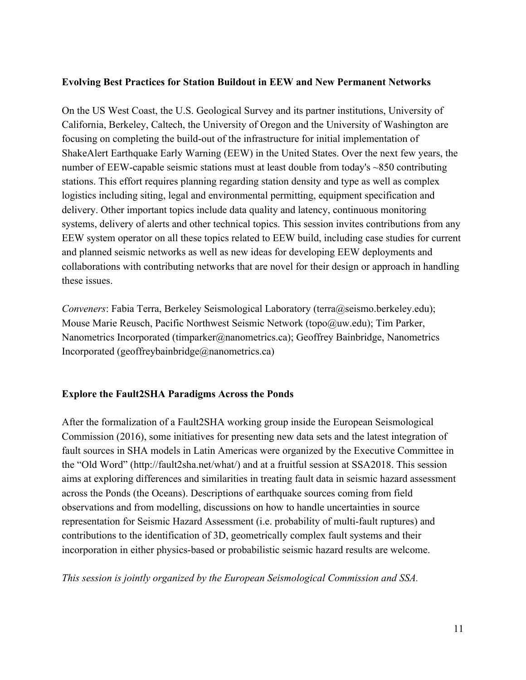#### **Evolving Best Practices for Station Buildout in EEW and New Permanent Networks**

On the US West Coast, the U.S. Geological Survey and its partner institutions, University of California, Berkeley, Caltech, the University of Oregon and the University of Washington are focusing on completing the build-out of the infrastructure for initial implementation of ShakeAlert Earthquake Early Warning (EEW) in the United States. Over the next few years, the number of EEW-capable seismic stations must at least double from today's ~850 contributing stations. This effort requires planning regarding station density and type as well as complex logistics including siting, legal and environmental permitting, equipment specification and delivery. Other important topics include data quality and latency, continuous monitoring systems, delivery of alerts and other technical topics. This session invites contributions from any EEW system operator on all these topics related to EEW build, including case studies for current and planned seismic networks as well as new ideas for developing EEW deployments and collaborations with contributing networks that are novel for their design or approach in handling these issues.

*Conveners*: Fabia Terra, Berkeley Seismological Laboratory (terra@seismo.berkeley.edu); Mouse Marie Reusch, Pacific Northwest Seismic Network (topo@uw.edu); Tim Parker, Nanometrics Incorporated (timparker@nanometrics.ca); Geoffrey Bainbridge, Nanometrics Incorporated (geoffreybainbridge@nanometrics.ca)

#### **Explore the Fault2SHA Paradigms Across the Ponds**

After the formalization of a Fault2SHA working group inside the European Seismological Commission (2016), some initiatives for presenting new data sets and the latest integration of fault sources in SHA models in Latin Americas were organized by the Executive Committee in the "Old Word" (http://fault2sha.net/what/) and at a fruitful session at SSA2018. This session aims at exploring differences and similarities in treating fault data in seismic hazard assessment across the Ponds (the Oceans). Descriptions of earthquake sources coming from field observations and from modelling, discussions on how to handle uncertainties in source representation for Seismic Hazard Assessment (i.e. probability of multi-fault ruptures) and contributions to the identification of 3D, geometrically complex fault systems and their incorporation in either physics-based or probabilistic seismic hazard results are welcome.

*This session is jointly organized by the European Seismological Commission and SSA.*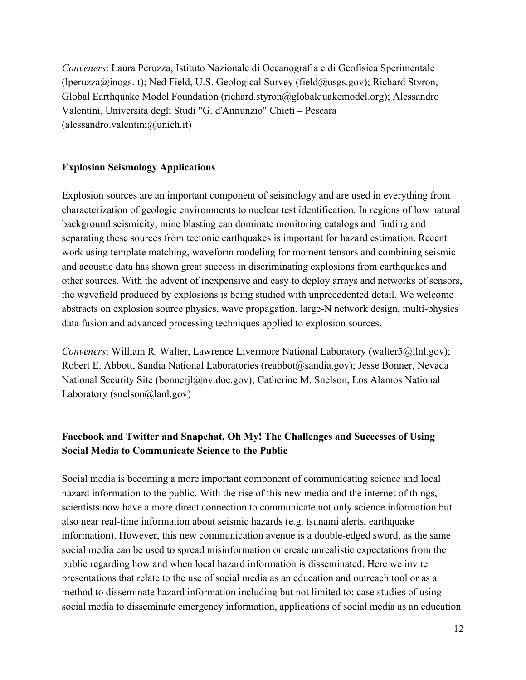*Conveners*: Laura Peruzza, Istituto Nazionale di Oceanografia e di Geofisica Sperimentale (lperuzza@inogs.it); Ned Field, U.S. Geological Survey (field@usgs.gov); Richard Styron, Global Earthquake Model Foundation (richard.styron@globalquakemodel.org); Alessandro Valentini, Università degli Studi "G. d'Annunzio" Chieti – Pescara  $(a$ lessandro.valentini $@$ unich.it)

#### **Explosion Seismology Applications**

Explosion sources are an important component of seismology and are used in everything from characterization of geologic environments to nuclear test identification. In regions of low natural background seismicity, mine blasting can dominate monitoring catalogs and finding and separating these sources from tectonic earthquakes is important for hazard estimation. Recent work using template matching, waveform modeling for moment tensors and combining seismic and acoustic data has shown great success in discriminating explosions from earthquakes and other sources. With the advent of inexpensive and easy to deploy arrays and networks of sensors, the wavefield produced by explosions is being studied with unprecedented detail. We welcome abstracts on explosion source physics, wave propagation, large-N network design, multi-physics data fusion and advanced processing techniques applied to explosion sources.

*Conveners*: William R. Walter, Lawrence Livermore National Laboratory (walter5@llnl.gov); Robert E. Abbott, Sandia National Laboratories (reabbot@sandia.gov); Jesse Bonner, Nevada National Security Site (bonnerjl@nv.doe.gov); Catherine M. Snelson, Los Alamos National Laboratory (snelson@lanl.gov)

# **Facebook and Twitter and Snapchat, Oh My! The Challenges and Successes of Using Social Media to Communicate Science to the Public**

Social media is becoming a more important component of communicating science and local hazard information to the public. With the rise of this new media and the internet of things, scientists now have a more direct connection to communicate not only science information but also near real-time information about seismic hazards (e.g. tsunami alerts, earthquake information). However, this new communication avenue is a double-edged sword, as the same social media can be used to spread misinformation or create unrealistic expectations from the public regarding how and when local hazard information is disseminated. Here we invite presentations that relate to the use of social media as an education and outreach tool or as a method to disseminate hazard information including but not limited to: case studies of using social media to disseminate emergency information, applications of social media as an education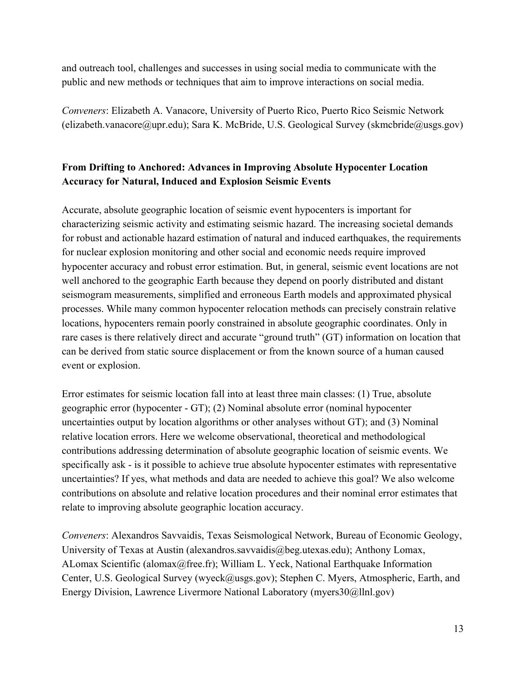and outreach tool, challenges and successes in using social media to communicate with the public and new methods or techniques that aim to improve interactions on social media.

*Conveners*: Elizabeth A. Vanacore, University of Puerto Rico, Puerto Rico Seismic Network (elizabeth.vanacore@upr.edu); Sara K. McBride, U.S. Geological Survey (skmcbride@usgs.gov)

## **From Drifting to Anchored: Advances in Improving Absolute Hypocenter Location Accuracy for Natural, Induced and Explosion Seismic Events**

Accurate, absolute geographic location of seismic event hypocenters is important for characterizing seismic activity and estimating seismic hazard. The increasing societal demands for robust and actionable hazard estimation of natural and induced earthquakes, the requirements for nuclear explosion monitoring and other social and economic needs require improved hypocenter accuracy and robust error estimation. But, in general, seismic event locations are not well anchored to the geographic Earth because they depend on poorly distributed and distant seismogram measurements, simplified and erroneous Earth models and approximated physical processes. While many common hypocenter relocation methods can precisely constrain relative locations, hypocenters remain poorly constrained in absolute geographic coordinates. Only in rare cases is there relatively direct and accurate "ground truth" (GT) information on location that can be derived from static source displacement or from the known source of a human caused event or explosion.

Error estimates for seismic location fall into at least three main classes: (1) True, absolute geographic error (hypocenter - GT); (2) Nominal absolute error (nominal hypocenter uncertainties output by location algorithms or other analyses without GT); and (3) Nominal relative location errors. Here we welcome observational, theoretical and methodological contributions addressing determination of absolute geographic location of seismic events. We specifically ask - is it possible to achieve true absolute hypocenter estimates with representative uncertainties? If yes, what methods and data are needed to achieve this goal? We also welcome contributions on absolute and relative location procedures and their nominal error estimates that relate to improving absolute geographic location accuracy.

*Conveners*: Alexandros Savvaidis, Texas Seismological Network, Bureau of Economic Geology, University of Texas at Austin (alexandros.savvaidis@beg.utexas.edu); Anthony Lomax, ALomax Scientific (alomax $@$ free.fr); William L. Yeck, National Earthquake Information Center, U.S. Geological Survey (wyeck@usgs.gov); Stephen C. Myers, Atmospheric, Earth, and Energy Division, Lawrence Livermore National Laboratory (myers30@llnl.gov)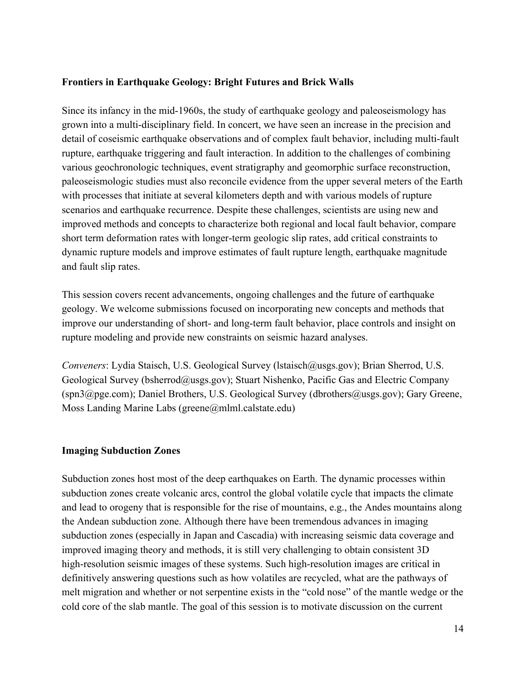#### **Frontiers in Earthquake Geology: Bright Futures and Brick Walls**

Since its infancy in the mid-1960s, the study of earthquake geology and paleoseismology has grown into a multi-disciplinary field. In concert, we have seen an increase in the precision and detail of coseismic earthquake observations and of complex fault behavior, including multi-fault rupture, earthquake triggering and fault interaction. In addition to the challenges of combining various geochronologic techniques, event stratigraphy and geomorphic surface reconstruction, paleoseismologic studies must also reconcile evidence from the upper several meters of the Earth with processes that initiate at several kilometers depth and with various models of rupture scenarios and earthquake recurrence. Despite these challenges, scientists are using new and improved methods and concepts to characterize both regional and local fault behavior, compare short term deformation rates with longer-term geologic slip rates, add critical constraints to dynamic rupture models and improve estimates of fault rupture length, earthquake magnitude and fault slip rates.

This session covers recent advancements, ongoing challenges and the future of earthquake geology. We welcome submissions focused on incorporating new concepts and methods that improve our understanding of short- and long-term fault behavior, place controls and insight on rupture modeling and provide new constraints on seismic hazard analyses.

*Conveners*: Lydia Staisch, U.S. Geological Survey (lstaisch@usgs.gov); Brian Sherrod, U.S. Geological Survey (bsherrod@usgs.gov); Stuart Nishenko, Pacific Gas and Electric Company (spn3@pge.com); Daniel Brothers, U.S. Geological Survey (dbrothers@usgs.gov); Gary Greene, Moss Landing Marine Labs (greene@mlml.calstate.edu)

#### **Imaging Subduction Zones**

Subduction zones host most of the deep earthquakes on Earth. The dynamic processes within subduction zones create volcanic arcs, control the global volatile cycle that impacts the climate and lead to orogeny that is responsible for the rise of mountains, e.g., the Andes mountains along the Andean subduction zone. Although there have been tremendous advances in imaging subduction zones (especially in Japan and Cascadia) with increasing seismic data coverage and improved imaging theory and methods, it is still very challenging to obtain consistent 3D high-resolution seismic images of these systems. Such high-resolution images are critical in definitively answering questions such as how volatiles are recycled, what are the pathways of melt migration and whether or not serpentine exists in the "cold nose" of the mantle wedge or the cold core of the slab mantle. The goal of this session is to motivate discussion on the current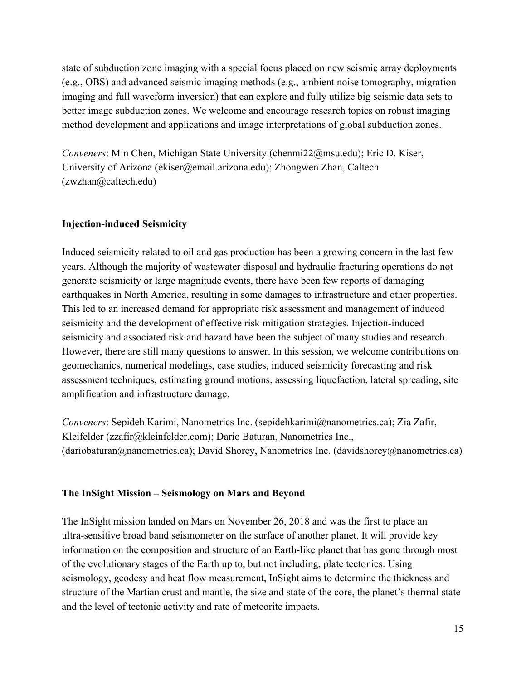state of subduction zone imaging with a special focus placed on new seismic array deployments (e.g., OBS) and advanced seismic imaging methods (e.g., ambient noise tomography, migration imaging and full waveform inversion) that can explore and fully utilize big seismic data sets to better image subduction zones. We welcome and encourage research topics on robust imaging method development and applications and image interpretations of global subduction zones.

*Conveners*: Min Chen, Michigan State University (chenmi22@msu.edu); Eric D. Kiser, University of Arizona (ekiser@email.arizona.edu); Zhongwen Zhan, Caltech (zwzhan@caltech.edu)

#### **Injection-induced Seismicity**

Induced seismicity related to oil and gas production has been a growing concern in the last few years. Although the majority of wastewater disposal and hydraulic fracturing operations do not generate seismicity or large magnitude events, there have been few reports of damaging earthquakes in North America, resulting in some damages to infrastructure and other properties. This led to an increased demand for appropriate risk assessment and management of induced seismicity and the development of effective risk mitigation strategies. Injection-induced seismicity and associated risk and hazard have been the subject of many studies and research. However, there are still many questions to answer. In this session, we welcome contributions on geomechanics, numerical modelings, case studies, induced seismicity forecasting and risk assessment techniques, estimating ground motions, assessing liquefaction, lateral spreading, site amplification and infrastructure damage.

*Conveners*: Sepideh Karimi, Nanometrics Inc. (sepidehkarimi@nanometrics.ca); Zia Zafir, Kleifelder (zzafir@kleinfelder.com); Dario Baturan, Nanometrics Inc., (dariobaturan@nanometrics.ca); David Shorey, Nanometrics Inc. (davidshorey@nanometrics.ca)

#### **The InSight Mission – Seismology on Mars and Beyond**

The InSight mission landed on Mars on November 26, 2018 and was the first to place an ultra-sensitive broad band seismometer on the surface of another planet. It will provide key information on the composition and structure of an Earth-like planet that has gone through most of the evolutionary stages of the Earth up to, but not including, plate tectonics. Using seismology, geodesy and heat flow measurement, InSight aims to determine the thickness and structure of the Martian crust and mantle, the size and state of the core, the planet's thermal state and the level of tectonic activity and rate of meteorite impacts.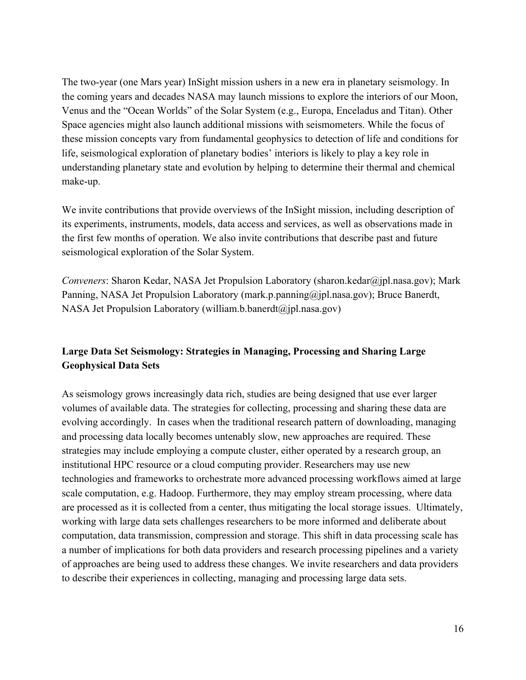The two-year (one Mars year) InSight mission ushers in a new era in planetary seismology. In the coming years and decades NASA may launch missions to explore the interiors of our Moon, Venus and the "Ocean Worlds" of the Solar System (e.g., Europa, Enceladus and Titan). Other Space agencies might also launch additional missions with seismometers. While the focus of these mission concepts vary from fundamental geophysics to detection of life and conditions for life, seismological exploration of planetary bodies' interiors is likely to play a key role in understanding planetary state and evolution by helping to determine their thermal and chemical make-up.

We invite contributions that provide overviews of the InSight mission, including description of its experiments, instruments, models, data access and services, as well as observations made in the first few months of operation. We also invite contributions that describe past and future seismological exploration of the Solar System.

*Conveners*: Sharon Kedar, NASA Jet Propulsion Laboratory (sharon.kedar@jpl.nasa.gov); Mark Panning, NASA Jet Propulsion Laboratory (mark.p.panning@jpl.nasa.gov); Bruce Banerdt, NASA Jet Propulsion Laboratory (william.b.banerdt@jpl.nasa.gov)

## **Large Data Set Seismology: Strategies in Managing, Processing and Sharing Large Geophysical Data Sets**

As seismology grows increasingly data rich, studies are being designed that use ever larger volumes of available data. The strategies for collecting, processing and sharing these data are evolving accordingly. In cases when the traditional research pattern of downloading, managing and processing data locally becomes untenably slow, new approaches are required. These strategies may include employing a compute cluster, either operated by a research group, an institutional HPC resource or a cloud computing provider. Researchers may use new technologies and frameworks to orchestrate more advanced processing workflows aimed at large scale computation, e.g. Hadoop. Furthermore, they may employ stream processing, where data are processed as it is collected from a center, thus mitigating the local storage issues. Ultimately, working with large data sets challenges researchers to be more informed and deliberate about computation, data transmission, compression and storage. This shift in data processing scale has a number of implications for both data providers and research processing pipelines and a variety of approaches are being used to address these changes. We invite researchers and data providers to describe their experiences in collecting, managing and processing large data sets.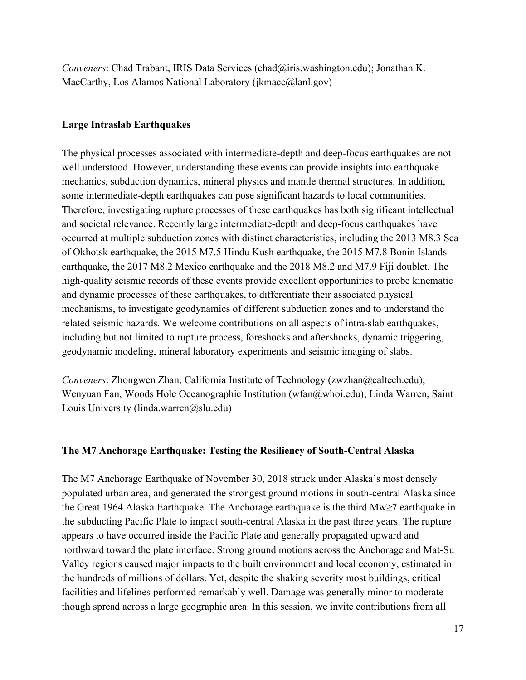*Conveners*: Chad Trabant, IRIS Data Services (chad@iris.washington.edu); Jonathan K. MacCarthy, Los Alamos National Laboratory (jkmacc@lanl.gov)

#### **Large Intraslab Earthquakes**

The physical processes associated with intermediate-depth and deep-focus earthquakes are not well understood. However, understanding these events can provide insights into earthquake mechanics, subduction dynamics, mineral physics and mantle thermal structures. In addition, some intermediate-depth earthquakes can pose significant hazards to local communities. Therefore, investigating rupture processes of these earthquakes has both significant intellectual and societal relevance. Recently large intermediate-depth and deep-focus earthquakes have occurred at multiple subduction zones with distinct characteristics, including the 2013 M8.3 Sea of Okhotsk earthquake, the 2015 M7.5 Hindu Kush earthquake, the 2015 M7.8 Bonin Islands earthquake, the 2017 M8.2 Mexico earthquake and the 2018 M8.2 and M7.9 Fiji doublet. The high-quality seismic records of these events provide excellent opportunities to probe kinematic and dynamic processes of these earthquakes, to differentiate their associated physical mechanisms, to investigate geodynamics of different subduction zones and to understand the related seismic hazards. We welcome contributions on all aspects of intra-slab earthquakes, including but not limited to rupture process, foreshocks and aftershocks, dynamic triggering, geodynamic modeling, mineral laboratory experiments and seismic imaging of slabs.

*Conveners*: Zhongwen Zhan, California Institute of Technology (zwzhan@caltech.edu); Wenyuan Fan, Woods Hole Oceanographic Institution (wfan@whoi.edu); Linda Warren, Saint Louis University (linda.warren@slu.edu)

#### **The M7 Anchorage Earthquake: Testing the Resiliency of South-Central Alaska**

The M7 Anchorage Earthquake of November 30, 2018 struck under Alaska's most densely populated urban area, and generated the strongest ground motions in south-central Alaska since the Great 1964 Alaska Earthquake. The Anchorage earthquake is the third Mw≥7 earthquake in the subducting Pacific Plate to impact south-central Alaska in the past three years. The rupture appears to have occurred inside the Pacific Plate and generally propagated upward and northward toward the plate interface. Strong ground motions across the Anchorage and Mat-Su Valley regions caused major impacts to the built environment and local economy, estimated in the hundreds of millions of dollars. Yet, despite the shaking severity most buildings, critical facilities and lifelines performed remarkably well. Damage was generally minor to moderate though spread across a large geographic area. In this session, we invite contributions from all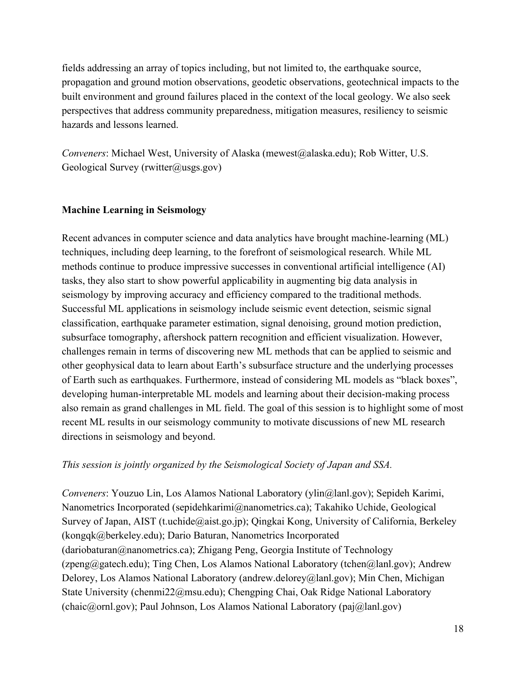fields addressing an array of topics including, but not limited to, the earthquake source, propagation and ground motion observations, geodetic observations, geotechnical impacts to the built environment and ground failures placed in the context of the local geology. We also seek perspectives that address community preparedness, mitigation measures, resiliency to seismic hazards and lessons learned.

*Conveners*: Michael West, University of Alaska (mewest@alaska.edu); Rob Witter, U.S. Geological Survey (rwitter@usgs.gov)

#### **Machine Learning in Seismology**

Recent advances in computer science and data analytics have brought machine-learning (ML) techniques, including deep learning, to the forefront of seismological research. While ML methods continue to produce impressive successes in conventional artificial intelligence (AI) tasks, they also start to show powerful applicability in augmenting big data analysis in seismology by improving accuracy and efficiency compared to the traditional methods. Successful ML applications in seismology include seismic event detection, seismic signal classification, earthquake parameter estimation, signal denoising, ground motion prediction, subsurface tomography, aftershock pattern recognition and efficient visualization. However, challenges remain in terms of discovering new ML methods that can be applied to seismic and other geophysical data to learn about Earth's subsurface structure and the underlying processes of Earth such as earthquakes. Furthermore, instead of considering ML models as "black boxes", developing human-interpretable ML models and learning about their decision-making process also remain as grand challenges in ML field. The goal of this session is to highlight some of most recent ML results in our seismology community to motivate discussions of new ML research directions in seismology and beyond.

#### *This session is jointly organized by the Seismological Society of Japan and SSA.*

*Conveners*: Youzuo Lin, Los Alamos National Laboratory (ylin@lanl.gov); Sepideh Karimi, Nanometrics Incorporated (sepidehkarimi@nanometrics.ca); Takahiko Uchide, Geological Survey of Japan, AIST (t.uchide@aist.go.jp); Qingkai Kong, University of California, Berkeley (kongqk@berkeley.edu); Dario Baturan, Nanometrics Incorporated (dariobaturan@nanometrics.ca); Zhigang Peng, Georgia Institute of Technology (zpeng@gatech.edu); Ting Chen, Los Alamos National Laboratory (tchen@lanl.gov); Andrew Delorey, Los Alamos National Laboratory (andrew.delorey@lanl.gov); Min Chen, Michigan State University (chenmi22@msu.edu); Chengping Chai, Oak Ridge National Laboratory (chaic@ornl.gov); Paul Johnson, Los Alamos National Laboratory (paj@lanl.gov)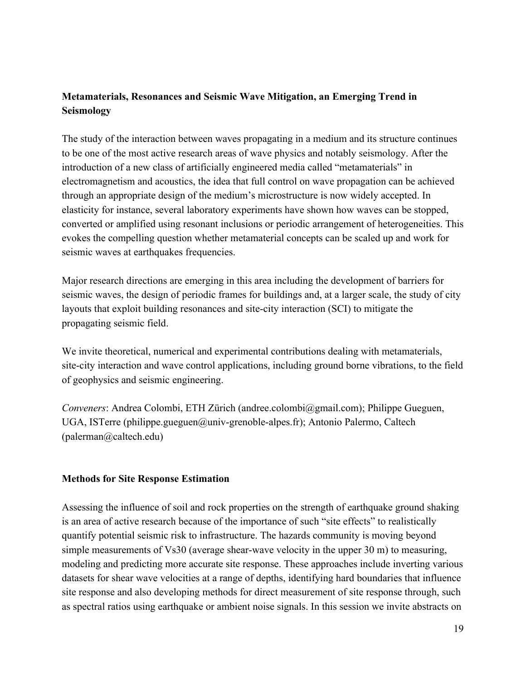# **Metamaterials, Resonances and Seismic Wave Mitigation, an Emerging Trend in Seismology**

The study of the interaction between waves propagating in a medium and its structure continues to be one of the most active research areas of wave physics and notably seismology. After the introduction of a new class of artificially engineered media called "metamaterials" in electromagnetism and acoustics, the idea that full control on wave propagation can be achieved through an appropriate design of the medium's microstructure is now widely accepted. In elasticity for instance, several laboratory experiments have shown how waves can be stopped, converted or amplified using resonant inclusions or periodic arrangement of heterogeneities. This evokes the compelling question whether metamaterial concepts can be scaled up and work for seismic waves at earthquakes frequencies.

Major research directions are emerging in this area including the development of barriers for seismic waves, the design of periodic frames for buildings and, at a larger scale, the study of city layouts that exploit building resonances and site-city interaction (SCI) to mitigate the propagating seismic field.

We invite theoretical, numerical and experimental contributions dealing with metamaterials, site-city interaction and wave control applications, including ground borne vibrations, to the field of geophysics and seismic engineering.

*Conveners*: Andrea Colombi, ETH Zürich (andree.colombi@gmail.com); Philippe Gueguen, UGA, ISTerre (philippe.gueguen@univ-grenoble-alpes.fr); Antonio Palermo, Caltech (palerman@caltech.edu)

#### **Methods for Site Response Estimation**

Assessing the influence of soil and rock properties on the strength of earthquake ground shaking is an area of active research because of the importance of such "site effects" to realistically quantify potential seismic risk to infrastructure. The hazards community is moving beyond simple measurements of Vs30 (average shear-wave velocity in the upper 30 m) to measuring, modeling and predicting more accurate site response. These approaches include inverting various datasets for shear wave velocities at a range of depths, identifying hard boundaries that influence site response and also developing methods for direct measurement of site response through, such as spectral ratios using earthquake or ambient noise signals. In this session we invite abstracts on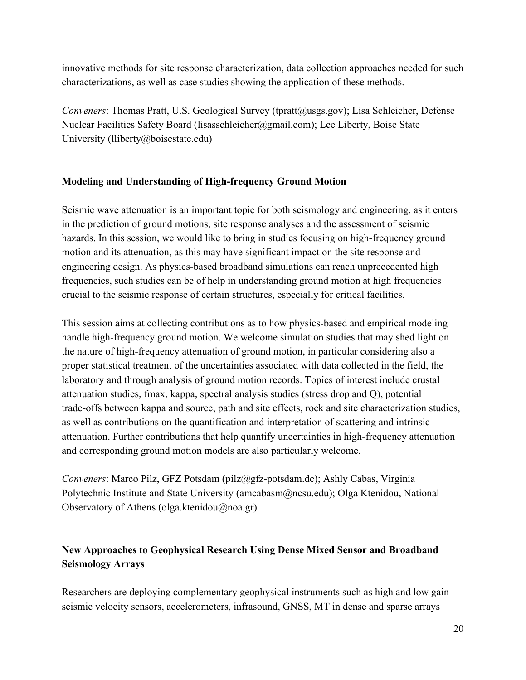innovative methods for site response characterization, data collection approaches needed for such characterizations, as well as case studies showing the application of these methods.

*Conveners*: Thomas Pratt, U.S. Geological Survey (tpratt@usgs.gov); Lisa Schleicher, Defense Nuclear Facilities Safety Board (lisasschleicher@gmail.com); Lee Liberty, Boise State University (lliberty@boisestate.edu)

#### **Modeling and Understanding of High-frequency Ground Motion**

Seismic wave attenuation is an important topic for both seismology and engineering, as it enters in the prediction of ground motions, site response analyses and the assessment of seismic hazards. In this session, we would like to bring in studies focusing on high-frequency ground motion and its attenuation, as this may have significant impact on the site response and engineering design. As physics-based broadband simulations can reach unprecedented high frequencies, such studies can be of help in understanding ground motion at high frequencies crucial to the seismic response of certain structures, especially for critical facilities.

This session aims at collecting contributions as to how physics-based and empirical modeling handle high-frequency ground motion. We welcome simulation studies that may shed light on the nature of high-frequency attenuation of ground motion, in particular considering also a proper statistical treatment of the uncertainties associated with data collected in the field, the laboratory and through analysis of ground motion records. Topics of interest include crustal attenuation studies, fmax, kappa, spectral analysis studies (stress drop and Q), potential trade-offs between kappa and source, path and site effects, rock and site characterization studies, as well as contributions on the quantification and interpretation of scattering and intrinsic attenuation. Further contributions that help quantify uncertainties in high-frequency attenuation and corresponding ground motion models are also particularly welcome.

*Conveners*: Marco Pilz, GFZ Potsdam (pilz@gfz-potsdam.de); Ashly Cabas, Virginia Polytechnic Institute and State University (amcabasm@ncsu.edu); Olga Ktenidou, National Observatory of Athens (olga.ktenidou@noa.gr)

# **New Approaches to Geophysical Research Using Dense Mixed Sensor and Broadband Seismology Arrays**

Researchers are deploying complementary geophysical instruments such as high and low gain seismic velocity sensors, accelerometers, infrasound, GNSS, MT in dense and sparse arrays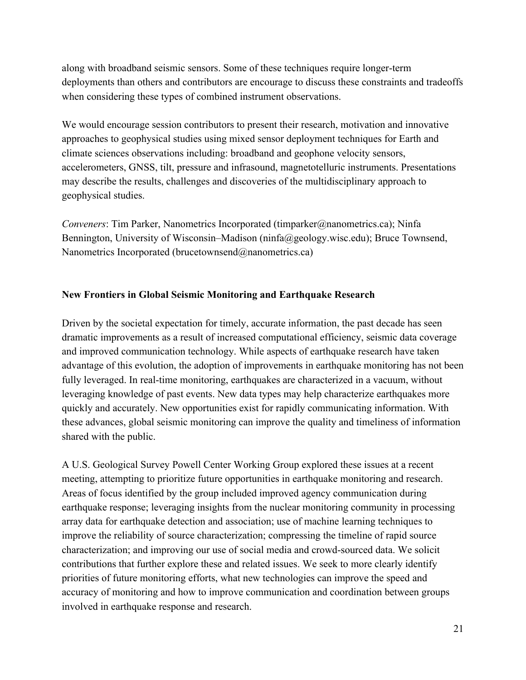along with broadband seismic sensors. Some of these techniques require longer-term deployments than others and contributors are encourage to discuss these constraints and tradeoffs when considering these types of combined instrument observations.

We would encourage session contributors to present their research, motivation and innovative approaches to geophysical studies using mixed sensor deployment techniques for Earth and climate sciences observations including: broadband and geophone velocity sensors, accelerometers, GNSS, tilt, pressure and infrasound, magnetotelluric instruments. Presentations may describe the results, challenges and discoveries of the multidisciplinary approach to geophysical studies.

*Conveners*: Tim Parker, Nanometrics Incorporated (timparker@nanometrics.ca); Ninfa Bennington, University of Wisconsin–Madison (ninfa@geology.wisc.edu); Bruce Townsend, Nanometrics Incorporated (brucetownsend@nanometrics.ca)

#### **New Frontiers in Global Seismic Monitoring and Earthquake Research**

Driven by the societal expectation for timely, accurate information, the past decade has seen dramatic improvements as a result of increased computational efficiency, seismic data coverage and improved communication technology. While aspects of earthquake research have taken advantage of this evolution, the adoption of improvements in earthquake monitoring has not been fully leveraged. In real-time monitoring, earthquakes are characterized in a vacuum, without leveraging knowledge of past events. New data types may help characterize earthquakes more quickly and accurately. New opportunities exist for rapidly communicating information. With these advances, global seismic monitoring can improve the quality and timeliness of information shared with the public.

A U.S. Geological Survey Powell Center Working Group explored these issues at a recent meeting, attempting to prioritize future opportunities in earthquake monitoring and research. Areas of focus identified by the group included improved agency communication during earthquake response; leveraging insights from the nuclear monitoring community in processing array data for earthquake detection and association; use of machine learning techniques to improve the reliability of source characterization; compressing the timeline of rapid source characterization; and improving our use of social media and crowd-sourced data. We solicit contributions that further explore these and related issues. We seek to more clearly identify priorities of future monitoring efforts, what new technologies can improve the speed and accuracy of monitoring and how to improve communication and coordination between groups involved in earthquake response and research.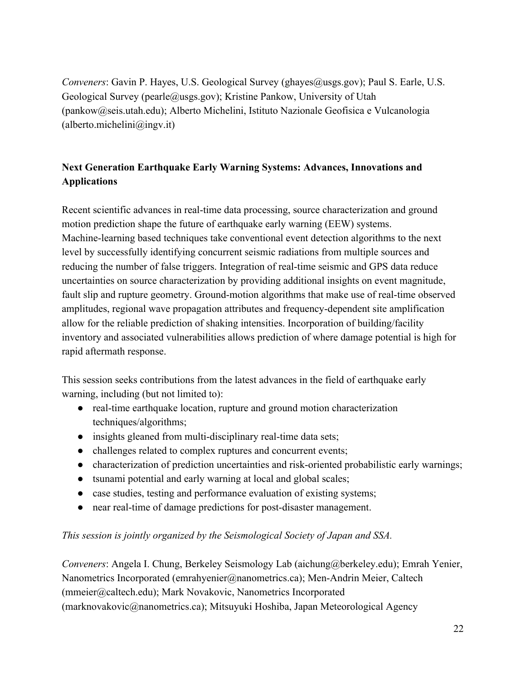*Conveners*: Gavin P. Hayes, U.S. Geological Survey (ghayes@usgs.gov); Paul S. Earle, U.S. Geological Survey (pearle@usgs.gov); Kristine Pankow, University of Utah (pankow@seis.utah.edu); Alberto Michelini, Istituto Nazionale Geofisica e Vulcanologia  $(alberto.michelini@ingv.it)$ 

# **Next Generation Earthquake Early Warning Systems: Advances, Innovations and Applications**

Recent scientific advances in real-time data processing, source characterization and ground motion prediction shape the future of earthquake early warning (EEW) systems. Machine-learning based techniques take conventional event detection algorithms to the next level by successfully identifying concurrent seismic radiations from multiple sources and reducing the number of false triggers. Integration of real-time seismic and GPS data reduce uncertainties on source characterization by providing additional insights on event magnitude, fault slip and rupture geometry. Ground-motion algorithms that make use of real-time observed amplitudes, regional wave propagation attributes and frequency-dependent site amplification allow for the reliable prediction of shaking intensities. Incorporation of building/facility inventory and associated vulnerabilities allows prediction of where damage potential is high for rapid aftermath response.

This session seeks contributions from the latest advances in the field of earthquake early warning, including (but not limited to):

- real-time earthquake location, rupture and ground motion characterization techniques/algorithms;
- insights gleaned from multi-disciplinary real-time data sets;
- challenges related to complex ruptures and concurrent events;
- characterization of prediction uncertainties and risk-oriented probabilistic early warnings;
- tsunami potential and early warning at local and global scales;
- case studies, testing and performance evaluation of existing systems;
- near real-time of damage predictions for post-disaster management.

## *This session is jointly organized by the Seismological Society of Japan and SSA.*

*Conveners*: Angela I. Chung, Berkeley Seismology Lab (aichung@berkeley.edu); Emrah Yenier, Nanometrics Incorporated (emrahyenier@nanometrics.ca); Men-Andrin Meier, Caltech (mmeier@caltech.edu); Mark Novakovic, Nanometrics Incorporated (marknovakovic@nanometrics.ca); Mitsuyuki Hoshiba, Japan Meteorological Agency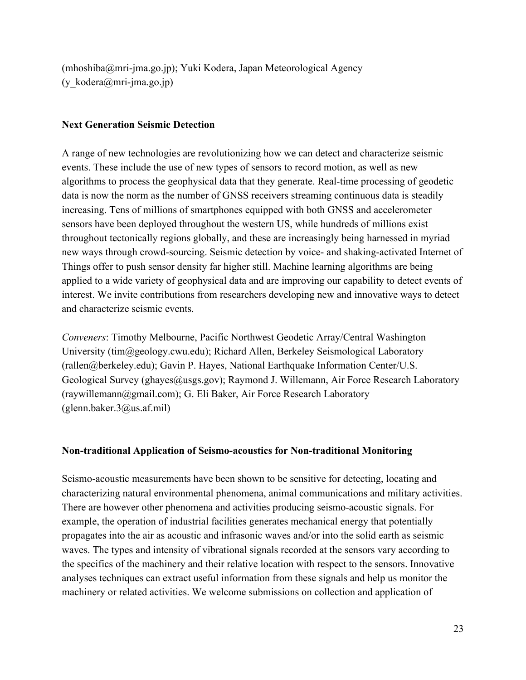(mhoshiba@mri-jma.go.jp); Yuki Kodera, Japan Meteorological Agency (y\_kodera@mri-jma.go.jp)

#### **Next Generation Seismic Detection**

A range of new technologies are revolutionizing how we can detect and characterize seismic events. These include the use of new types of sensors to record motion, as well as new algorithms to process the geophysical data that they generate. Real-time processing of geodetic data is now the norm as the number of GNSS receivers streaming continuous data is steadily increasing. Tens of millions of smartphones equipped with both GNSS and accelerometer sensors have been deployed throughout the western US, while hundreds of millions exist throughout tectonically regions globally, and these are increasingly being harnessed in myriad new ways through crowd-sourcing. Seismic detection by voice- and shaking-activated Internet of Things offer to push sensor density far higher still. Machine learning algorithms are being applied to a wide variety of geophysical data and are improving our capability to detect events of interest. We invite contributions from researchers developing new and innovative ways to detect and characterize seismic events.

*Conveners*: Timothy Melbourne, Pacific Northwest Geodetic Array/Central Washington University (tim@geology.cwu.edu); Richard Allen, Berkeley Seismological Laboratory (rallen@berkeley.edu); Gavin P. Hayes, National Earthquake Information Center/U.S. Geological Survey (ghayes@usgs.gov); Raymond J. Willemann, Air Force Research Laboratory (raywillemann@gmail.com); G. Eli Baker, Air Force Research Laboratory (glenn.baker.3@us.af.mil)

#### **Non-traditional Application of Seismo-acoustics for Non-traditional Monitoring**

Seismo-acoustic measurements have been shown to be sensitive for detecting, locating and characterizing natural environmental phenomena, animal communications and military activities. There are however other phenomena and activities producing seismo-acoustic signals. For example, the operation of industrial facilities generates mechanical energy that potentially propagates into the air as acoustic and infrasonic waves and/or into the solid earth as seismic waves. The types and intensity of vibrational signals recorded at the sensors vary according to the specifics of the machinery and their relative location with respect to the sensors. Innovative analyses techniques can extract useful information from these signals and help us monitor the machinery or related activities. We welcome submissions on collection and application of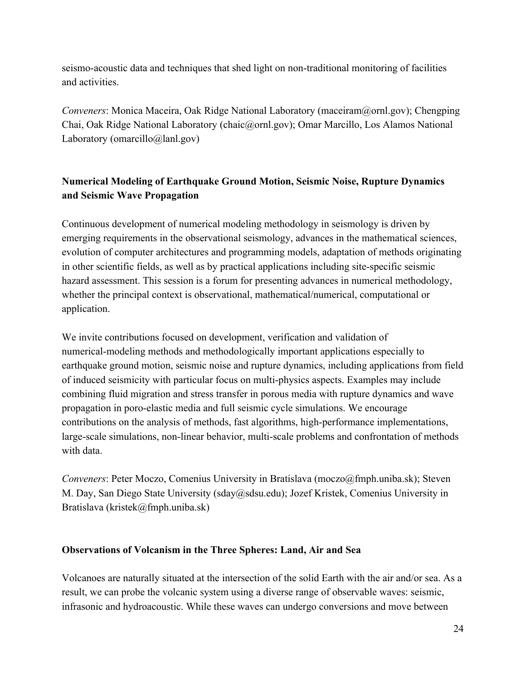seismo-acoustic data and techniques that shed light on non-traditional monitoring of facilities and activities.

*Conveners*: Monica Maceira, Oak Ridge National Laboratory (maceiram@ornl.gov); Chengping Chai, Oak Ridge National Laboratory (chaic@ornl.gov); Omar Marcillo, Los Alamos National Laboratory (omarcillo@lanl.gov)

# **Numerical Modeling of Earthquake Ground Motion, Seismic Noise, Rupture Dynamics and Seismic Wave Propagation**

Continuous development of numerical modeling methodology in seismology is driven by emerging requirements in the observational seismology, advances in the mathematical sciences, evolution of computer architectures and programming models, adaptation of methods originating in other scientific fields, as well as by practical applications including site-specific seismic hazard assessment. This session is a forum for presenting advances in numerical methodology, whether the principal context is observational, mathematical/numerical, computational or application.

We invite contributions focused on development, verification and validation of numerical-modeling methods and methodologically important applications especially to earthquake ground motion, seismic noise and rupture dynamics, including applications from field of induced seismicity with particular focus on multi-physics aspects. Examples may include combining fluid migration and stress transfer in porous media with rupture dynamics and wave propagation in poro-elastic media and full seismic cycle simulations. We encourage contributions on the analysis of methods, fast algorithms, high-performance implementations, large-scale simulations, non-linear behavior, multi-scale problems and confrontation of methods with data.

*Conveners*: Peter Moczo, Comenius University in Bratislava (moczo@fmph.uniba.sk); Steven M. Day, San Diego State University (sday@sdsu.edu); Jozef Kristek, Comenius University in Bratislava (kristek@fmph.uniba.sk)

#### **Observations of Volcanism in the Three Spheres: Land, Air and Sea**

Volcanoes are naturally situated at the intersection of the solid Earth with the air and/or sea. As a result, we can probe the volcanic system using a diverse range of observable waves: seismic, infrasonic and hydroacoustic. While these waves can undergo conversions and move between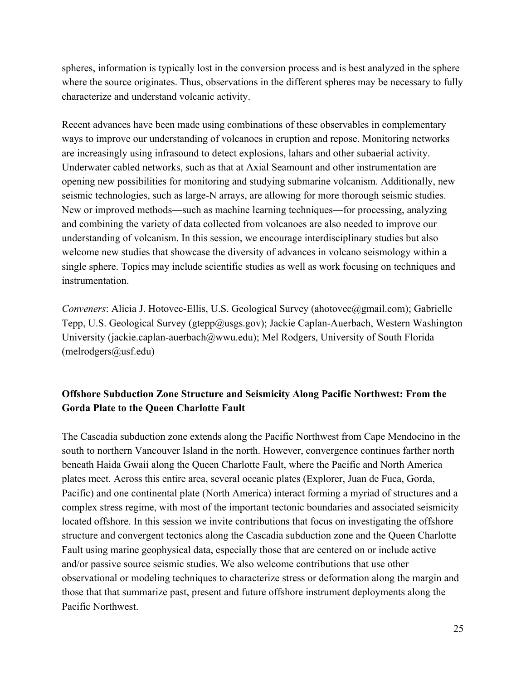spheres, information is typically lost in the conversion process and is best analyzed in the sphere where the source originates. Thus, observations in the different spheres may be necessary to fully characterize and understand volcanic activity.

Recent advances have been made using combinations of these observables in complementary ways to improve our understanding of volcanoes in eruption and repose. Monitoring networks are increasingly using infrasound to detect explosions, lahars and other subaerial activity. Underwater cabled networks, such as that at Axial Seamount and other instrumentation are opening new possibilities for monitoring and studying submarine volcanism. Additionally, new seismic technologies, such as large-N arrays, are allowing for more thorough seismic studies. New or improved methods—such as machine learning techniques—for processing, analyzing and combining the variety of data collected from volcanoes are also needed to improve our understanding of volcanism. In this session, we encourage interdisciplinary studies but also welcome new studies that showcase the diversity of advances in volcano seismology within a single sphere. Topics may include scientific studies as well as work focusing on techniques and instrumentation.

*Conveners*: Alicia J. Hotovec-Ellis, U.S. Geological Survey (ahotovec@gmail.com); Gabrielle Tepp, U.S. Geological Survey (gtepp@usgs.gov); Jackie Caplan-Auerbach, Western Washington University (jackie.caplan-auerbach@wwu.edu); Mel Rodgers, University of South Florida (melrodgers@usf.edu)

# **Offshore Subduction Zone Structure and Seismicity Along Pacific Northwest: From the Gorda Plate to the Queen Charlotte Fault**

The Cascadia subduction zone extends along the Pacific Northwest from Cape Mendocino in the south to northern Vancouver Island in the north. However, convergence continues farther north beneath Haida Gwaii along the Queen Charlotte Fault, where the Pacific and North America plates meet. Across this entire area, several oceanic plates (Explorer, Juan de Fuca, Gorda, Pacific) and one continental plate (North America) interact forming a myriad of structures and a complex stress regime, with most of the important tectonic boundaries and associated seismicity located offshore. In this session we invite contributions that focus on investigating the offshore structure and convergent tectonics along the Cascadia subduction zone and the Queen Charlotte Fault using marine geophysical data, especially those that are centered on or include active and/or passive source seismic studies. We also welcome contributions that use other observational or modeling techniques to characterize stress or deformation along the margin and those that that summarize past, present and future offshore instrument deployments along the Pacific Northwest.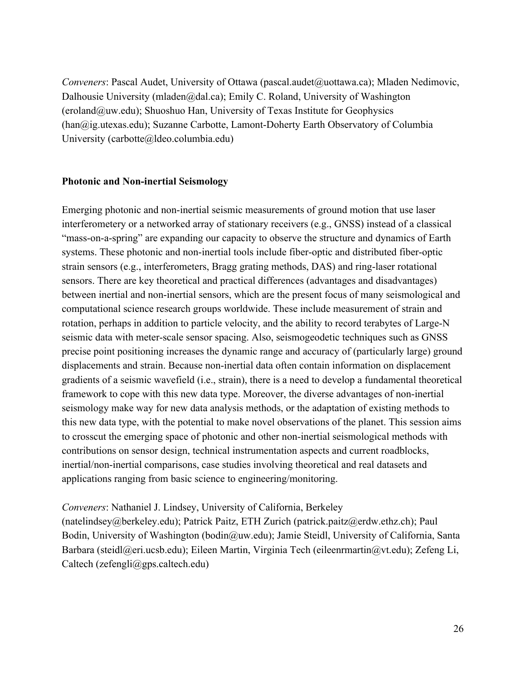*Conveners*: Pascal Audet, University of Ottawa (pascal.audet@uottawa.ca); Mladen Nedimovic, Dalhousie University (mladen@dal.ca); Emily C. Roland, University of Washington (eroland@uw.edu); Shuoshuo Han, University of Texas Institute for Geophysics (han@ig.utexas.edu); Suzanne Carbotte, Lamont-Doherty Earth Observatory of Columbia University (carbotte@ldeo.columbia.edu)

#### **Photonic and Non-inertial Seismology**

Emerging photonic and non-inertial seismic measurements of ground motion that use laser interferometery or a networked array of stationary receivers (e.g., GNSS) instead of a classical "mass-on-a-spring" are expanding our capacity to observe the structure and dynamics of Earth systems. These photonic and non-inertial tools include fiber-optic and distributed fiber-optic strain sensors (e.g., interferometers, Bragg grating methods, DAS) and ring-laser rotational sensors. There are key theoretical and practical differences (advantages and disadvantages) between inertial and non-inertial sensors, which are the present focus of many seismological and computational science research groups worldwide. These include measurement of strain and rotation, perhaps in addition to particle velocity, and the ability to record terabytes of Large-N seismic data with meter-scale sensor spacing. Also, seismogeodetic techniques such as GNSS precise point positioning increases the dynamic range and accuracy of (particularly large) ground displacements and strain. Because non-inertial data often contain information on displacement gradients of a seismic wavefield (i.e., strain), there is a need to develop a fundamental theoretical framework to cope with this new data type. Moreover, the diverse advantages of non-inertial seismology make way for new data analysis methods, or the adaptation of existing methods to this new data type, with the potential to make novel observations of the planet. This session aims to crosscut the emerging space of photonic and other non-inertial seismological methods with contributions on sensor design, technical instrumentation aspects and current roadblocks, inertial/non-inertial comparisons, case studies involving theoretical and real datasets and applications ranging from basic science to engineering/monitoring.

*Conveners*: Nathaniel J. Lindsey, University of California, Berkeley (natelindsey@berkeley.edu); Patrick Paitz, ETH Zurich (patrick.paitz@erdw.ethz.ch); Paul Bodin, University of Washington (bodin@uw.edu); Jamie Steidl, University of California, Santa Barbara (steidl@eri.ucsb.edu); Eileen Martin, Virginia Tech (eileenrmartin@vt.edu); Zefeng Li,  $Caltech (zefengli@gps.caltech.edu)$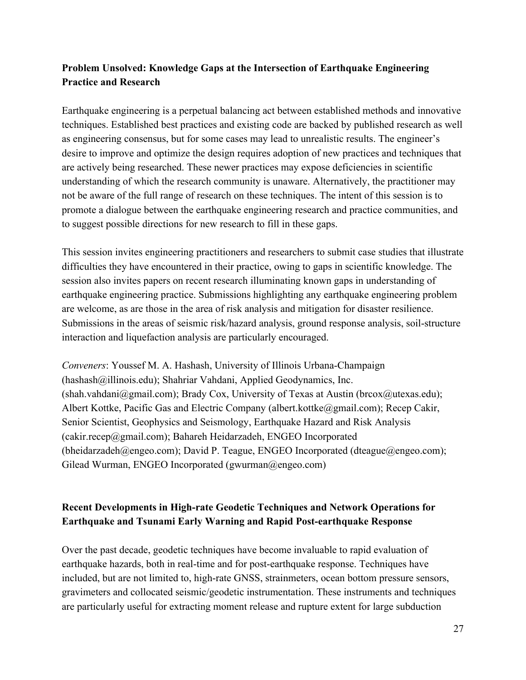# **Problem Unsolved: Knowledge Gaps at the Intersection of Earthquake Engineering Practice and Research**

Earthquake engineering is a perpetual balancing act between established methods and innovative techniques. Established best practices and existing code are backed by published research as well as engineering consensus, but for some cases may lead to unrealistic results. The engineer's desire to improve and optimize the design requires adoption of new practices and techniques that are actively being researched. These newer practices may expose deficiencies in scientific understanding of which the research community is unaware. Alternatively, the practitioner may not be aware of the full range of research on these techniques. The intent of this session is to promote a dialogue between the earthquake engineering research and practice communities, and to suggest possible directions for new research to fill in these gaps.

This session invites engineering practitioners and researchers to submit case studies that illustrate difficulties they have encountered in their practice, owing to gaps in scientific knowledge. The session also invites papers on recent research illuminating known gaps in understanding of earthquake engineering practice. Submissions highlighting any earthquake engineering problem are welcome, as are those in the area of risk analysis and mitigation for disaster resilience. Submissions in the areas of seismic risk/hazard analysis, ground response analysis, soil-structure interaction and liquefaction analysis are particularly encouraged.

*Conveners*: Youssef M. A. Hashash, University of Illinois Urbana-Champaign (hashash@illinois.edu); Shahriar Vahdani, Applied Geodynamics, Inc.  $(\text{shah}.\text{vahdani}(\hat{\omega})$ gmail.com); Brady Cox, University of Texas at Austin (brcox $(\hat{\omega})$ utexas.edu); Albert Kottke, Pacific Gas and Electric Company (albert.kottke@gmail.com); Recep Cakir, Senior Scientist, Geophysics and Seismology, Earthquake Hazard and Risk Analysis (cakir.recep@gmail.com); Bahareh Heidarzadeh, ENGEO Incorporated (bheidarzadeh@engeo.com); David P. Teague, ENGEO Incorporated (dteague@engeo.com); Gilead Wurman, ENGEO Incorporated (gwurman@engeo.com)

## **Recent Developments in High-rate Geodetic Techniques and Network Operations for Earthquake and Tsunami Early Warning and Rapid Post-earthquake Response**

Over the past decade, geodetic techniques have become invaluable to rapid evaluation of earthquake hazards, both in real-time and for post-earthquake response. Techniques have included, but are not limited to, high-rate GNSS, strainmeters, ocean bottom pressure sensors, gravimeters and collocated seismic/geodetic instrumentation. These instruments and techniques are particularly useful for extracting moment release and rupture extent for large subduction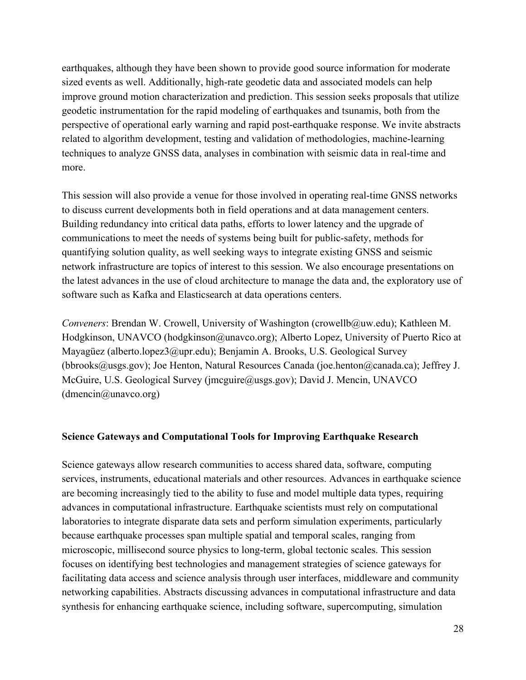earthquakes, although they have been shown to provide good source information for moderate sized events as well. Additionally, high-rate geodetic data and associated models can help improve ground motion characterization and prediction. This session seeks proposals that utilize geodetic instrumentation for the rapid modeling of earthquakes and tsunamis, both from the perspective of operational early warning and rapid post-earthquake response. We invite abstracts related to algorithm development, testing and validation of methodologies, machine-learning techniques to analyze GNSS data, analyses in combination with seismic data in real-time and more.

This session will also provide a venue for those involved in operating real-time GNSS networks to discuss current developments both in field operations and at data management centers. Building redundancy into critical data paths, efforts to lower latency and the upgrade of communications to meet the needs of systems being built for public-safety, methods for quantifying solution quality, as well seeking ways to integrate existing GNSS and seismic network infrastructure are topics of interest to this session. We also encourage presentations on the latest advances in the use of cloud architecture to manage the data and, the exploratory use of software such as Kafka and Elasticsearch at data operations centers.

*Conveners*: Brendan W. Crowell, University of Washington (crowellb@uw.edu); Kathleen M. Hodgkinson, UNAVCO (hodgkinson@unavco.org); Alberto Lopez, University of Puerto Rico at Mayagüez (alberto.lopez3@upr.edu); Benjamin A. Brooks, U.S. Geological Survey (bbrooks@usgs.gov); Joe Henton, Natural Resources Canada (joe.henton@canada.ca); Jeffrey J. McGuire, U.S. Geological Survey (jmcguire@usgs.gov); David J. Mencin, UNAVCO  $(d$ mencin $(a)$ unavco.org)

#### **Science Gateways and Computational Tools for Improving Earthquake Research**

Science gateways allow research communities to access shared data, software, computing services, instruments, educational materials and other resources. Advances in earthquake science are becoming increasingly tied to the ability to fuse and model multiple data types, requiring advances in computational infrastructure. Earthquake scientists must rely on computational laboratories to integrate disparate data sets and perform simulation experiments, particularly because earthquake processes span multiple spatial and temporal scales, ranging from microscopic, millisecond source physics to long-term, global tectonic scales. This session focuses on identifying best technologies and management strategies of science gateways for facilitating data access and science analysis through user interfaces, middleware and community networking capabilities. Abstracts discussing advances in computational infrastructure and data synthesis for enhancing earthquake science, including software, supercomputing, simulation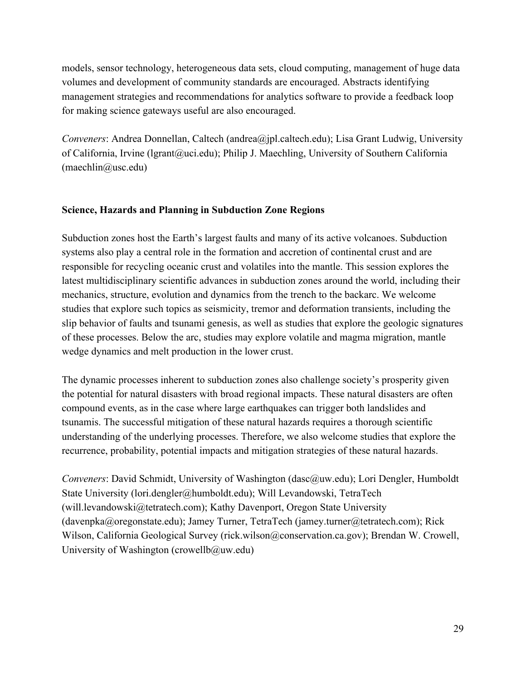models, sensor technology, heterogeneous data sets, cloud computing, management of huge data volumes and development of community standards are encouraged. Abstracts identifying management strategies and recommendations for analytics software to provide a feedback loop for making science gateways useful are also encouraged.

*Conveners*: Andrea Donnellan, Caltech (andrea@jpl.caltech.edu); Lisa Grant Ludwig, University of California, Irvine (Igrant@uci.edu); Philip J. Maechling, University of Southern California (maechlin@usc.edu)

#### **Science, Hazards and Planning in Subduction Zone Regions**

Subduction zones host the Earth's largest faults and many of its active volcanoes. Subduction systems also play a central role in the formation and accretion of continental crust and are responsible for recycling oceanic crust and volatiles into the mantle. This session explores the latest multidisciplinary scientific advances in subduction zones around the world, including their mechanics, structure, evolution and dynamics from the trench to the backarc. We welcome studies that explore such topics as seismicity, tremor and deformation transients, including the slip behavior of faults and tsunami genesis, as well as studies that explore the geologic signatures of these processes. Below the arc, studies may explore volatile and magma migration, mantle wedge dynamics and melt production in the lower crust.

The dynamic processes inherent to subduction zones also challenge society's prosperity given the potential for natural disasters with broad regional impacts. These natural disasters are often compound events, as in the case where large earthquakes can trigger both landslides and tsunamis. The successful mitigation of these natural hazards requires a thorough scientific understanding of the underlying processes. Therefore, we also welcome studies that explore the recurrence, probability, potential impacts and mitigation strategies of these natural hazards.

*Conveners*: David Schmidt, University of Washington (dasc@uw.edu); Lori Dengler, Humboldt State University (lori.dengler@humboldt.edu); Will Levandowski, TetraTech (will.levandowski@tetratech.com); Kathy Davenport, Oregon State University (davenpka@oregonstate.edu); Jamey Turner, TetraTech (jamey.turner@tetratech.com); Rick Wilson, California Geological Survey (rick.wilson@conservation.ca.gov); Brendan W. Crowell, University of Washington (crowellb@uw.edu)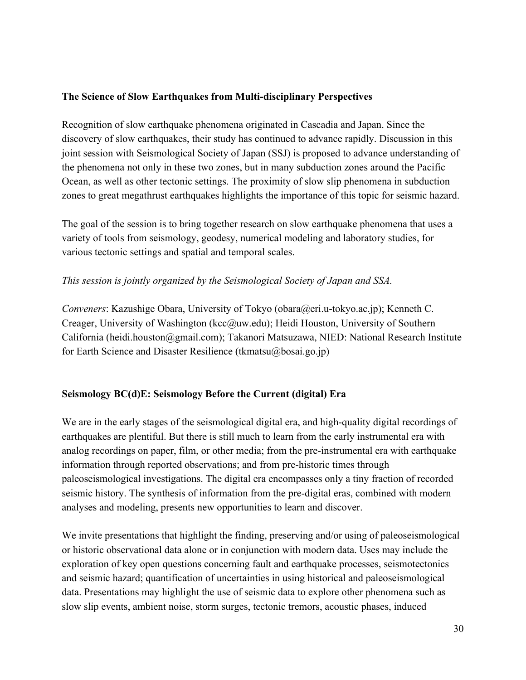#### **The Science of Slow Earthquakes from Multi-disciplinary Perspectives**

Recognition of slow earthquake phenomena originated in Cascadia and Japan. Since the discovery of slow earthquakes, their study has continued to advance rapidly. Discussion in this joint session with Seismological Society of Japan (SSJ) is proposed to advance understanding of the phenomena not only in these two zones, but in many subduction zones around the Pacific Ocean, as well as other tectonic settings. The proximity of slow slip phenomena in subduction zones to great megathrust earthquakes highlights the importance of this topic for seismic hazard.

The goal of the session is to bring together research on slow earthquake phenomena that uses a variety of tools from seismology, geodesy, numerical modeling and laboratory studies, for various tectonic settings and spatial and temporal scales.

#### *This session is jointly organized by the Seismological Society of Japan and SSA.*

*Conveners*: Kazushige Obara, University of Tokyo (obara@eri.u-tokyo.ac.jp); Kenneth C. Creager, University of Washington (kcc@uw.edu); Heidi Houston, University of Southern California (heidi.houston@gmail.com); Takanori Matsuzawa, NIED: National Research Institute for Earth Science and Disaster Resilience (tkmatsu@bosai.go.jp)

#### **Seismology BC(d)E: Seismology Before the Current (digital) Era**

We are in the early stages of the seismological digital era, and high-quality digital recordings of earthquakes are plentiful. But there is still much to learn from the early instrumental era with analog recordings on paper, film, or other media; from the pre-instrumental era with earthquake information through reported observations; and from pre-historic times through paleoseismological investigations. The digital era encompasses only a tiny fraction of recorded seismic history. The synthesis of information from the pre-digital eras, combined with modern analyses and modeling, presents new opportunities to learn and discover.

We invite presentations that highlight the finding, preserving and/or using of paleoseismological or historic observational data alone or in conjunction with modern data. Uses may include the exploration of key open questions concerning fault and earthquake processes, seismotectonics and seismic hazard; quantification of uncertainties in using historical and paleoseismological data. Presentations may highlight the use of seismic data to explore other phenomena such as slow slip events, ambient noise, storm surges, tectonic tremors, acoustic phases, induced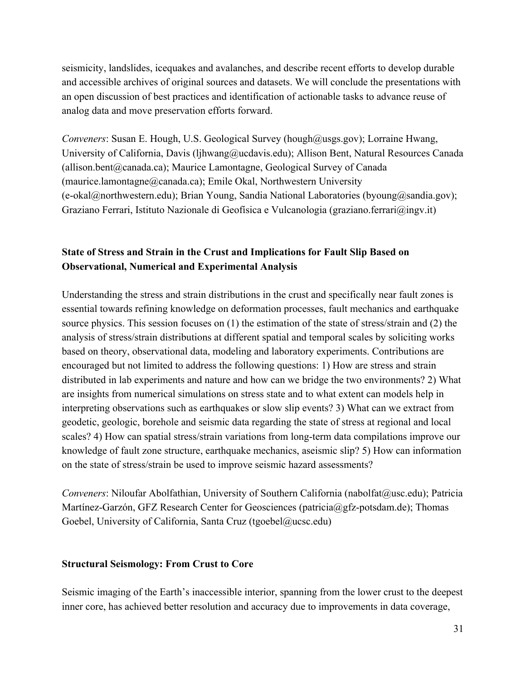seismicity, landslides, icequakes and avalanches, and describe recent efforts to develop durable and accessible archives of original sources and datasets. We will conclude the presentations with an open discussion of best practices and identification of actionable tasks to advance reuse of analog data and move preservation efforts forward.

*Conveners*: Susan E. Hough, U.S. Geological Survey (hough@usgs.gov); Lorraine Hwang, University of California, Davis (ljhwang@ucdavis.edu); Allison Bent, Natural Resources Canada (allison.bent@canada.ca); Maurice Lamontagne, Geological Survey of Canada (maurice.lamontagne@canada.ca); Emile Okal, Northwestern University (e-okal@northwestern.edu); Brian Young, Sandia National Laboratories (byoung@sandia.gov); Graziano Ferrari, Istituto Nazionale di Geofísica e Vulcanologia (graziano.ferrari@ingv.it)

## **State of Stress and Strain in the Crust and Implications for Fault Slip Based on Observational, Numerical and Experimental Analysis**

Understanding the stress and strain distributions in the crust and specifically near fault zones is essential towards refining knowledge on deformation processes, fault mechanics and earthquake source physics. This session focuses on (1) the estimation of the state of stress/strain and (2) the analysis of stress/strain distributions at different spatial and temporal scales by soliciting works based on theory, observational data, modeling and laboratory experiments. Contributions are encouraged but not limited to address the following questions: 1) How are stress and strain distributed in lab experiments and nature and how can we bridge the two environments? 2) What are insights from numerical simulations on stress state and to what extent can models help in interpreting observations such as earthquakes or slow slip events? 3) What can we extract from geodetic, geologic, borehole and seismic data regarding the state of stress at regional and local scales? 4) How can spatial stress/strain variations from long-term data compilations improve our knowledge of fault zone structure, earthquake mechanics, aseismic slip? 5) How can information on the state of stress/strain be used to improve seismic hazard assessments?

*Conveners*: Niloufar Abolfathian, University of Southern California (nabolfat@usc.edu); Patricia Martínez-Garzón, GFZ Research Center for Geosciences (patricia@gfz-potsdam.de); Thomas Goebel, University of California, Santa Cruz (tgoebel@ucsc.edu)

#### **Structural Seismology: From Crust to Core**

Seismic imaging of the Earth's inaccessible interior, spanning from the lower crust to the deepest inner core, has achieved better resolution and accuracy due to improvements in data coverage,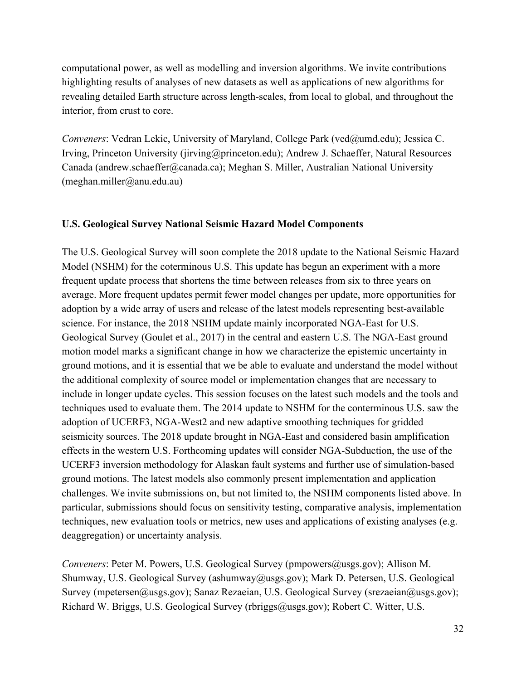computational power, as well as modelling and inversion algorithms. We invite contributions highlighting results of analyses of new datasets as well as applications of new algorithms for revealing detailed Earth structure across length-scales, from local to global, and throughout the interior, from crust to core.

*Conveners*: Vedran Lekic, University of Maryland, College Park (ved@umd.edu); Jessica C. Irving, Princeton University (jirving@princeton.edu); Andrew J. Schaeffer, Natural Resources Canada (andrew.schaeffer@canada.ca); Meghan S. Miller, Australian National University  $(meghan.miller@anu.edu.au)$ 

#### **U.S. Geological Survey National Seismic Hazard Model Components**

The U.S. Geological Survey will soon complete the 2018 update to the National Seismic Hazard Model (NSHM) for the coterminous U.S. This update has begun an experiment with a more frequent update process that shortens the time between releases from six to three years on average. More frequent updates permit fewer model changes per update, more opportunities for adoption by a wide array of users and release of the latest models representing best-available science. For instance, the 2018 NSHM update mainly incorporated NGA-East for U.S. Geological Survey (Goulet et al., 2017) in the central and eastern U.S. The NGA-East ground motion model marks a significant change in how we characterize the epistemic uncertainty in ground motions, and it is essential that we be able to evaluate and understand the model without the additional complexity of source model or implementation changes that are necessary to include in longer update cycles. This session focuses on the latest such models and the tools and techniques used to evaluate them. The 2014 update to NSHM for the conterminous U.S. saw the adoption of UCERF3, NGA-West2 and new adaptive smoothing techniques for gridded seismicity sources. The 2018 update brought in NGA-East and considered basin amplification effects in the western U.S. Forthcoming updates will consider NGA-Subduction, the use of the UCERF3 inversion methodology for Alaskan fault systems and further use of simulation-based ground motions. The latest models also commonly present implementation and application challenges. We invite submissions on, but not limited to, the NSHM components listed above. In particular, submissions should focus on sensitivity testing, comparative analysis, implementation techniques, new evaluation tools or metrics, new uses and applications of existing analyses (e.g. deaggregation) or uncertainty analysis.

*Conveners*: Peter M. Powers, U.S. Geological Survey (pmpowers@usgs.gov); Allison M. Shumway, U.S. Geological Survey (ashumway@usgs.gov); Mark D. Petersen, U.S. Geological Survey (mpetersen@usgs.gov); Sanaz Rezaeian, U.S. Geological Survey (srezaeian@usgs.gov); Richard W. Briggs, U.S. Geological Survey (rbriggs@usgs.gov); Robert C. Witter, U.S.